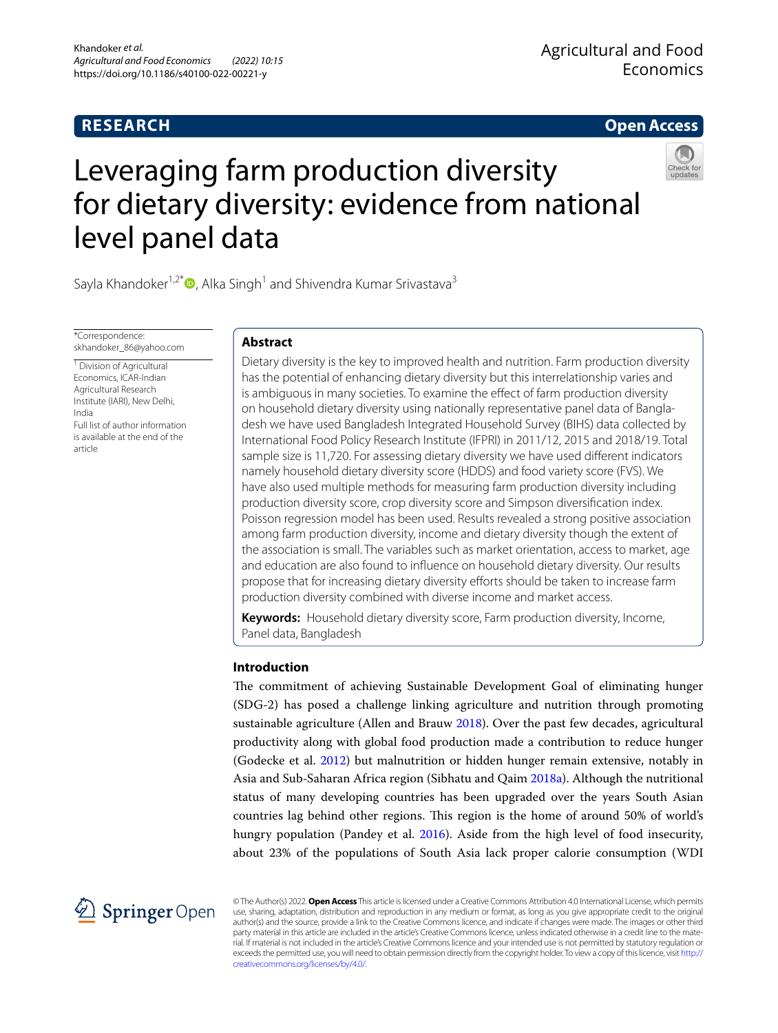# **RESEARCH**

**Open Access**

# Leveraging farm production diversity for dietary diversity: evidence from national level panel data



Sayla Khandoker<sup>1,2\*</sup> $\bullet$ [,](http://orcid.org/0000-0001-8947-8366) Alka Singh<sup>1</sup> and Shivendra Kumar Srivastava<sup>3</sup>

\*Correspondence: skhandoker\_86@yahoo.com

<sup>1</sup> Division of Agricultural Economics, ICAR-Indian Agricultural Research Institute (IARI), New Delhi, India Full list of author information is available at the end of the article

# **Abstract**

Dietary diversity is the key to improved health and nutrition. Farm production diversity has the potential of enhancing dietary diversity but this interrelationship varies and is ambiguous in many societies. To examine the effect of farm production diversity on household dietary diversity using nationally representative panel data of Bangladesh we have used Bangladesh Integrated Household Survey (BIHS) data collected by International Food Policy Research Institute (IFPRI) in 2011/12, 2015 and 2018/19. Total sample size is 11,720. For assessing dietary diversity we have used diferent indicators namely household dietary diversity score (HDDS) and food variety score (FVS). We have also used multiple methods for measuring farm production diversity including production diversity score, crop diversity score and Simpson diversifcation index. Poisson regression model has been used. Results revealed a strong positive association among farm production diversity, income and dietary diversity though the extent of the association is small. The variables such as market orientation, access to market, age and education are also found to infuence on household dietary diversity. Our results propose that for increasing dietary diversity eforts should be taken to increase farm production diversity combined with diverse income and market access.

**Keywords:** Household dietary diversity score, Farm production diversity, Income, Panel data, Bangladesh

## **Introduction**

The commitment of achieving Sustainable Development Goal of eliminating hunger (SDG-2) has posed a challenge linking agriculture and nutrition through promoting sustainable agriculture (Allen and Brauw [2018\)](#page-17-0). Over the past few decades, agricultural productivity along with global food production made a contribution to reduce hunger (Godecke et al. [2012](#page-17-1)) but malnutrition or hidden hunger remain extensive, notably in Asia and Sub-Saharan Africa region (Sibhatu and Qaim [2018a\)](#page-18-0). Although the nutritional status of many developing countries has been upgraded over the years South Asian countries lag behind other regions. Tis region is the home of around 50% of world's hungry population (Pandey et al. [2016](#page-18-1)). Aside from the high level of food insecurity, about 23% of the populations of South Asia lack proper calorie consumption (WDI



© The Author(s) 2022. **Open Access** This article is licensed under a Creative Commons Attribution 4.0 International License, which permits use, sharing, adaptation, distribution and reproduction in any medium or format, as long as you give appropriate credit to the original author(s) and the source, provide a link to the Creative Commons licence, and indicate if changes were made. The images or other third party material in this article are included in the article's Creative Commons licence, unless indicated otherwise in a credit line to the material. If material is not included in the article's Creative Commons licence and your intended use is not permitted by statutory regulation or exceeds the permitted use, you will need to obtain permission directly from the copyright holder. To view a copy of this licence, visit [http://](http://creativecommons.org/licenses/by/4.0/) [creativecommons.org/licenses/by/4.0/.](http://creativecommons.org/licenses/by/4.0/)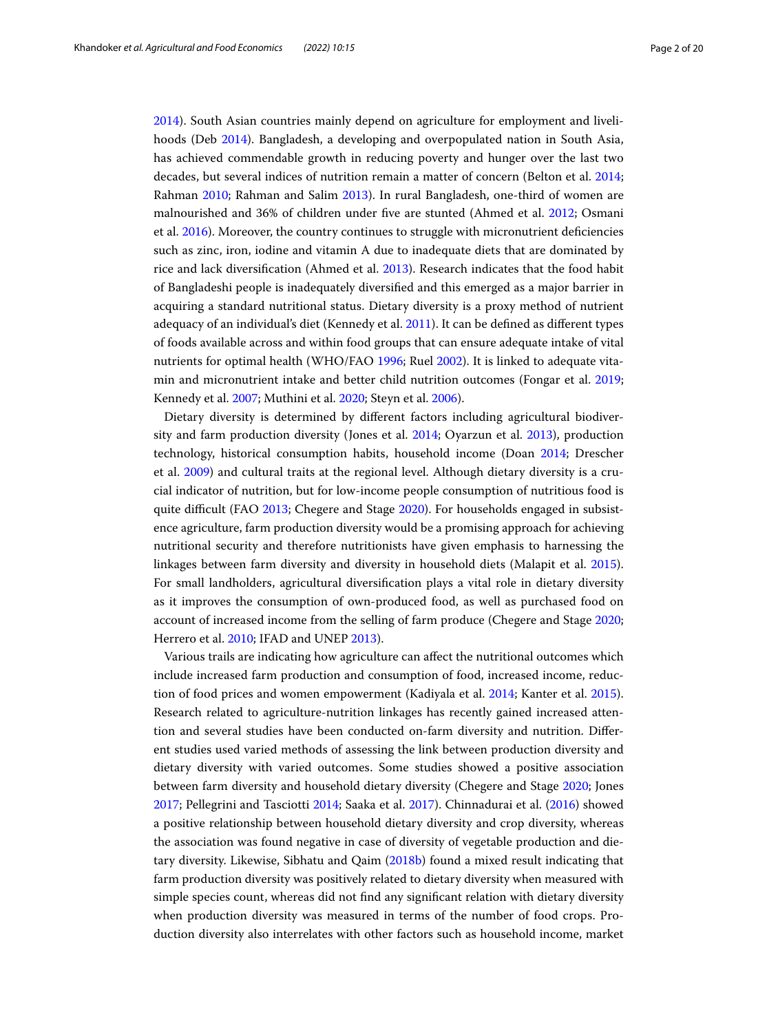[2014](#page-19-0)). South Asian countries mainly depend on agriculture for employment and livelihoods (Deb [2014](#page-17-2)). Bangladesh, a developing and overpopulated nation in South Asia, has achieved commendable growth in reducing poverty and hunger over the last two decades, but several indices of nutrition remain a matter of concern (Belton et al. [2014](#page-17-3); Rahman [2010;](#page-18-2) Rahman and Salim [2013\)](#page-18-3). In rural Bangladesh, one-third of women are malnourished and 36% of children under fve are stunted (Ahmed et al. [2012;](#page-17-4) Osmani et al. [2016](#page-18-4)). Moreover, the country continues to struggle with micronutrient defciencies such as zinc, iron, iodine and vitamin A due to inadequate diets that are dominated by rice and lack diversifcation (Ahmed et al. [2013\)](#page-17-5). Research indicates that the food habit of Bangladeshi people is inadequately diversifed and this emerged as a major barrier in acquiring a standard nutritional status. Dietary diversity is a proxy method of nutrient adequacy of an individual's diet (Kennedy et al. [2011](#page-18-5)). It can be defned as diferent types of foods available across and within food groups that can ensure adequate intake of vital nutrients for optimal health (WHO/FAO [1996;](#page-19-1) Ruel [2002](#page-18-6)). It is linked to adequate vitamin and micronutrient intake and better child nutrition outcomes (Fongar et al. [2019](#page-17-6); Kennedy et al. [2007;](#page-18-7) Muthini et al. [2020](#page-18-8); Steyn et al. [2006](#page-19-2)).

Dietary diversity is determined by diferent factors including agricultural biodiversity and farm production diversity (Jones et al. [2014](#page-18-9); Oyarzun et al. [2013](#page-18-10)), production technology, historical consumption habits, household income (Doan [2014;](#page-17-7) Drescher et al. [2009\)](#page-17-8) and cultural traits at the regional level. Although dietary diversity is a crucial indicator of nutrition, but for low-income people consumption of nutritious food is quite difficult (FAO [2013;](#page-17-9) Chegere and Stage [2020\)](#page-17-10). For households engaged in subsistence agriculture, farm production diversity would be a promising approach for achieving nutritional security and therefore nutritionists have given emphasis to harnessing the linkages between farm diversity and diversity in household diets (Malapit et al. [2015](#page-18-11)). For small landholders, agricultural diversifcation plays a vital role in dietary diversity as it improves the consumption of own-produced food, as well as purchased food on account of increased income from the selling of farm produce (Chegere and Stage [2020](#page-17-10); Herrero et al. [2010;](#page-18-12) IFAD and UNEP [2013\)](#page-18-13).

Various trails are indicating how agriculture can afect the nutritional outcomes which include increased farm production and consumption of food, increased income, reduction of food prices and women empowerment (Kadiyala et al. [2014](#page-18-14); Kanter et al. [2015](#page-18-15)). Research related to agriculture-nutrition linkages has recently gained increased attention and several studies have been conducted on-farm diversity and nutrition. Diferent studies used varied methods of assessing the link between production diversity and dietary diversity with varied outcomes. Some studies showed a positive association between farm diversity and household dietary diversity (Chegere and Stage [2020;](#page-17-10) Jones [2017](#page-18-16); Pellegrini and Tasciotti [2014](#page-18-17); Saaka et al. [2017\)](#page-18-18). Chinnadurai et al. ([2016\)](#page-17-11) showed a positive relationship between household dietary diversity and crop diversity, whereas the association was found negative in case of diversity of vegetable production and dietary diversity. Likewise, Sibhatu and Qaim [\(2018b\)](#page-18-19) found a mixed result indicating that farm production diversity was positively related to dietary diversity when measured with simple species count, whereas did not fnd any signifcant relation with dietary diversity when production diversity was measured in terms of the number of food crops. Production diversity also interrelates with other factors such as household income, market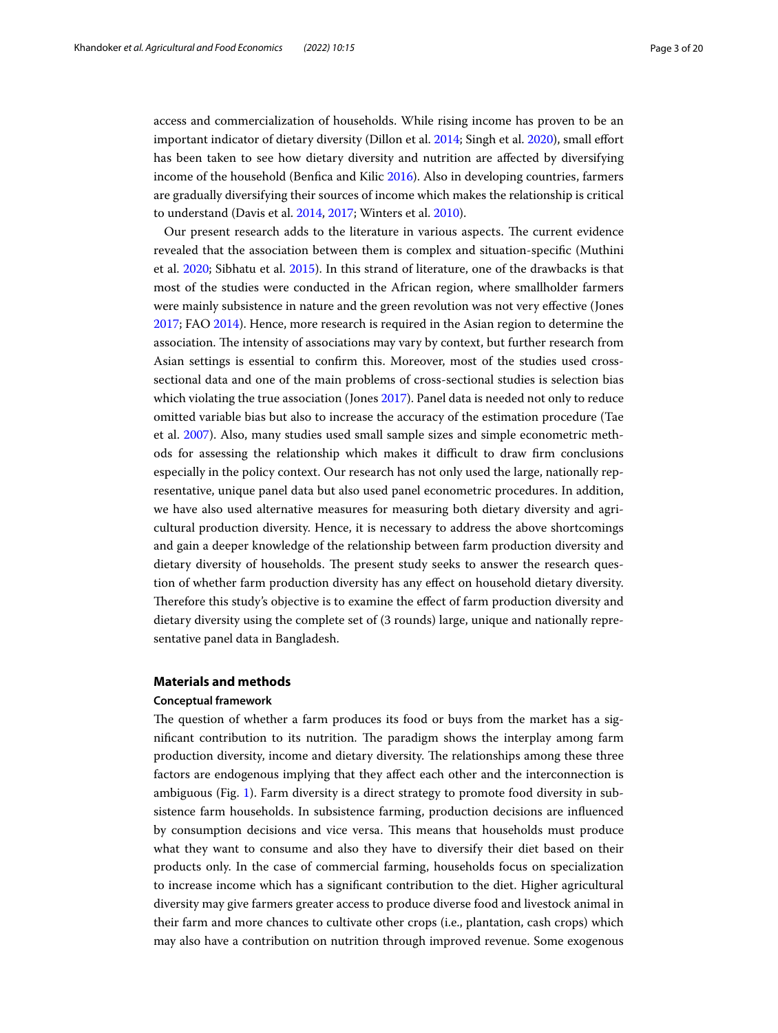access and commercialization of households. While rising income has proven to be an important indicator of dietary diversity (Dillon et al. [2014](#page-17-12); Singh et al. [2020\)](#page-18-20), small efort has been taken to see how dietary diversity and nutrition are afected by diversifying income of the household (Benfca and Kilic [2016](#page-17-13)). Also in developing countries, farmers are gradually diversifying their sources of income which makes the relationship is critical to understand (Davis et al. [2014,](#page-17-14) [2017;](#page-17-15) Winters et al. [2010\)](#page-19-3).

Our present research adds to the literature in various aspects. The current evidence revealed that the association between them is complex and situation-specifc (Muthini et al. [2020;](#page-18-8) Sibhatu et al. [2015](#page-18-21)). In this strand of literature, one of the drawbacks is that most of the studies were conducted in the African region, where smallholder farmers were mainly subsistence in nature and the green revolution was not very efective (Jones [2017](#page-18-16); FAO [2014](#page-17-16)). Hence, more research is required in the Asian region to determine the association. The intensity of associations may vary by context, but further research from Asian settings is essential to confrm this. Moreover, most of the studies used crosssectional data and one of the main problems of cross-sectional studies is selection bias which violating the true association (Jones [2017](#page-18-16)). Panel data is needed not only to reduce omitted variable bias but also to increase the accuracy of the estimation procedure (Tae et al. [2007](#page-19-4)). Also, many studies used small sample sizes and simple econometric methods for assessing the relationship which makes it difcult to draw frm conclusions especially in the policy context. Our research has not only used the large, nationally representative, unique panel data but also used panel econometric procedures. In addition, we have also used alternative measures for measuring both dietary diversity and agricultural production diversity. Hence, it is necessary to address the above shortcomings and gain a deeper knowledge of the relationship between farm production diversity and dietary diversity of households. The present study seeks to answer the research question of whether farm production diversity has any efect on household dietary diversity. Therefore this study's objective is to examine the effect of farm production diversity and dietary diversity using the complete set of (3 rounds) large, unique and nationally representative panel data in Bangladesh.

## **Materials and methods**

## **Conceptual framework**

The question of whether a farm produces its food or buys from the market has a significant contribution to its nutrition. The paradigm shows the interplay among farm production diversity, income and dietary diversity. The relationships among these three factors are endogenous implying that they afect each other and the interconnection is ambiguous (Fig. [1](#page-3-0)). Farm diversity is a direct strategy to promote food diversity in subsistence farm households. In subsistence farming, production decisions are infuenced by consumption decisions and vice versa. Tis means that households must produce what they want to consume and also they have to diversify their diet based on their products only. In the case of commercial farming, households focus on specialization to increase income which has a signifcant contribution to the diet. Higher agricultural diversity may give farmers greater access to produce diverse food and livestock animal in their farm and more chances to cultivate other crops (i.e., plantation, cash crops) which may also have a contribution on nutrition through improved revenue. Some exogenous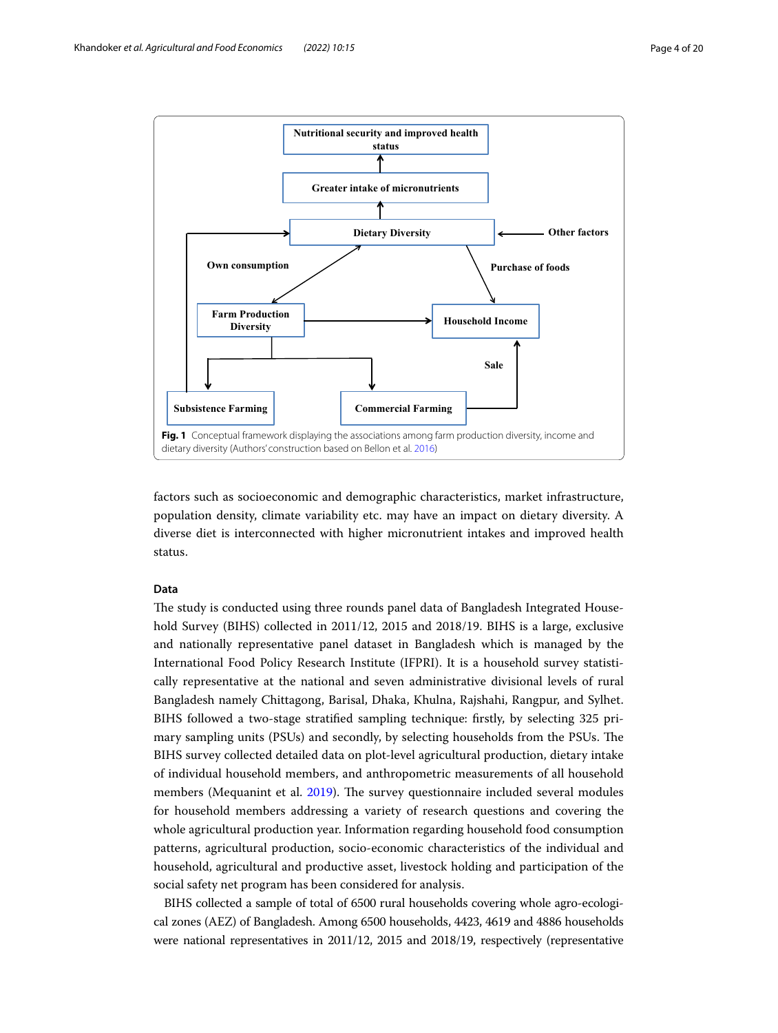

<span id="page-3-0"></span>factors such as socioeconomic and demographic characteristics, market infrastructure, population density, climate variability etc. may have an impact on dietary diversity. A diverse diet is interconnected with higher micronutrient intakes and improved health status.

## **Data**

The study is conducted using three rounds panel data of Bangladesh Integrated Household Survey (BIHS) collected in 2011/12, 2015 and 2018/19. BIHS is a large, exclusive and nationally representative panel dataset in Bangladesh which is managed by the International Food Policy Research Institute (IFPRI). It is a household survey statistically representative at the national and seven administrative divisional levels of rural Bangladesh namely Chittagong, Barisal, Dhaka, Khulna, Rajshahi, Rangpur, and Sylhet. BIHS followed a two-stage stratifed sampling technique: frstly, by selecting 325 primary sampling units (PSUs) and secondly, by selecting households from the PSUs. The BIHS survey collected detailed data on plot-level agricultural production, dietary intake of individual household members, and anthropometric measurements of all household members (Mequanint et al. [2019\)](#page-18-22). The survey questionnaire included several modules for household members addressing a variety of research questions and covering the whole agricultural production year. Information regarding household food consumption patterns, agricultural production, socio-economic characteristics of the individual and household, agricultural and productive asset, livestock holding and participation of the social safety net program has been considered for analysis.

BIHS collected a sample of total of 6500 rural households covering whole agro-ecological zones (AEZ) of Bangladesh. Among 6500 households, 4423, 4619 and 4886 households were national representatives in 2011/12, 2015 and 2018/19, respectively (representative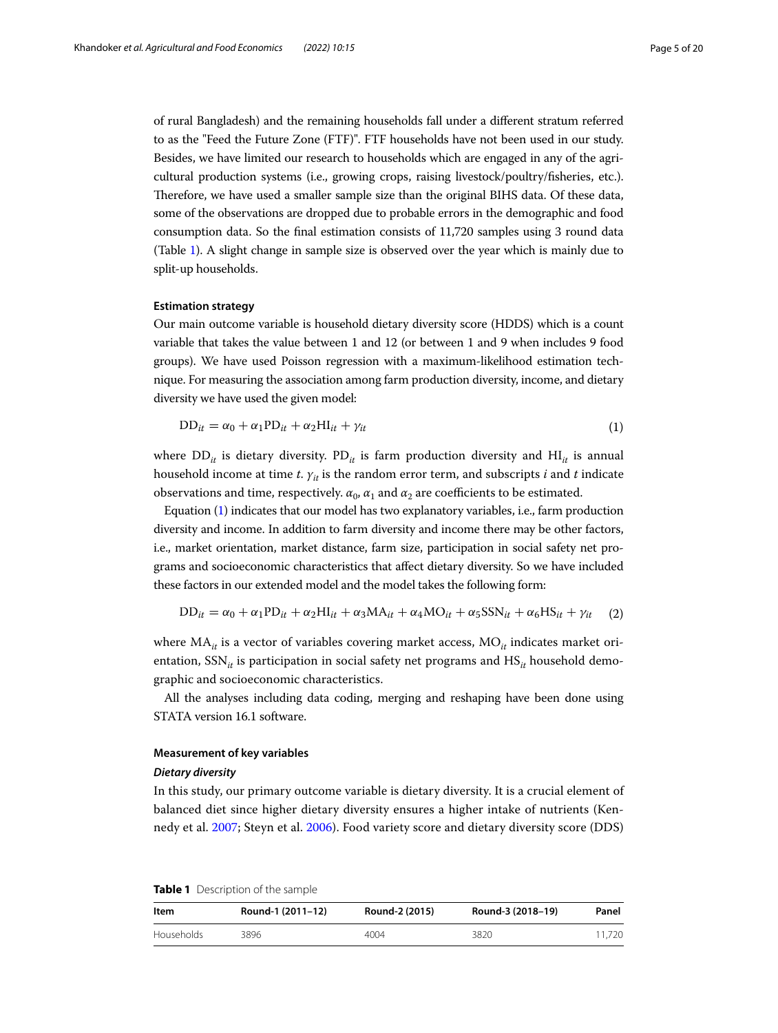of rural Bangladesh) and the remaining households fall under a diferent stratum referred to as the "Feed the Future Zone (FTF)". FTF households have not been used in our study. Besides, we have limited our research to households which are engaged in any of the agricultural production systems (i.e., growing crops, raising livestock/poultry/fsheries, etc.). Therefore, we have used a smaller sample size than the original BIHS data. Of these data, some of the observations are dropped due to probable errors in the demographic and food consumption data. So the fnal estimation consists of 11,720 samples using 3 round data (Table [1](#page-4-0)). A slight change in sample size is observed over the year which is mainly due to split-up households.

## **Estimation strategy**

Our main outcome variable is household dietary diversity score (HDDS) which is a count variable that takes the value between 1 and 12 (or between 1 and 9 when includes 9 food groups). We have used Poisson regression with a maximum-likelihood estimation technique. For measuring the association among farm production diversity, income, and dietary diversity we have used the given model:

<span id="page-4-1"></span>
$$
DD_{it} = \alpha_0 + \alpha_1 PD_{it} + \alpha_2 HI_{it} + \gamma_{it}
$$
\n(1)

where  $DD_{it}$  is dietary diversity.  $PD_{it}$  is farm production diversity and  $HI_{it}$  is annual household income at time *t*. *γ<sub>it</sub>* is the random error term, and subscripts *i* and *t* indicate observations and time, respectively.  $\alpha_0$ ,  $\alpha_1$  and  $\alpha_2$  are coefficients to be estimated.

Equation ([1\)](#page-4-1) indicates that our model has two explanatory variables, i.e., farm production diversity and income. In addition to farm diversity and income there may be other factors, i.e., market orientation, market distance, farm size, participation in social safety net programs and socioeconomic characteristics that afect dietary diversity. So we have included these factors in our extended model and the model takes the following form:

$$
DD_{it} = \alpha_0 + \alpha_1 PD_{it} + \alpha_2 HI_{it} + \alpha_3 MA_{it} + \alpha_4 MO_{it} + \alpha_5 SSN_{it} + \alpha_6 HS_{it} + \gamma_{it}
$$
 (2)

where MA<sub>it</sub> is a vector of variables covering market access, MO<sub>it</sub> indicates market orientation, SSN<sub>it</sub> is participation in social safety net programs and HS<sub>it</sub> household demographic and socioeconomic characteristics.

All the analyses including data coding, merging and reshaping have been done using STATA version 16.1 software.

## **Measurement of key variables**

#### *Dietary diversity*

In this study, our primary outcome variable is dietary diversity. It is a crucial element of balanced diet since higher dietary diversity ensures a higher intake of nutrients (Kennedy et al. [2007](#page-18-7); Steyn et al. [2006](#page-19-2)). Food variety score and dietary diversity score (DDS)

<span id="page-4-0"></span>

|  | <b>Table 1</b> Description of the sample |  |
|--|------------------------------------------|--|
|--|------------------------------------------|--|

| Item       | Round-1 (2011-12) | Round-2 (2015) | Round-3 (2018-19) | Panel  |
|------------|-------------------|----------------|-------------------|--------|
| Households | 3896              | 4004           | 3820              | 11.720 |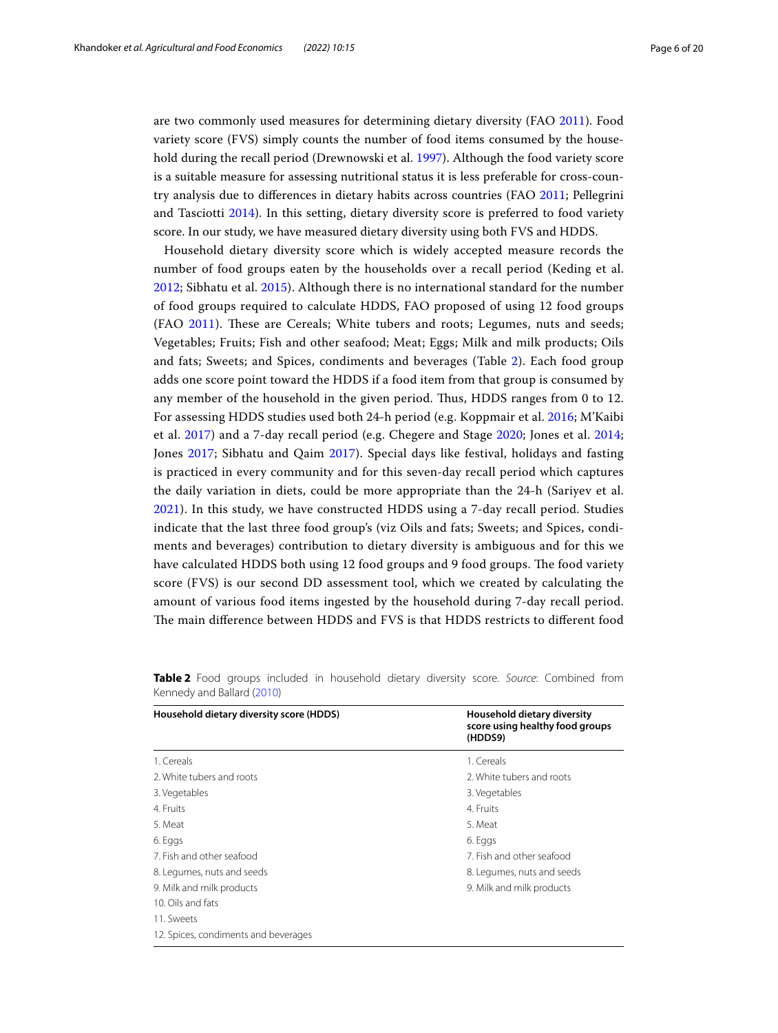are two commonly used measures for determining dietary diversity (FAO [2011](#page-17-18)). Food variety score (FVS) simply counts the number of food items consumed by the household during the recall period (Drewnowski et al. [1997\)](#page-17-19). Although the food variety score is a suitable measure for assessing nutritional status it is less preferable for cross-country analysis due to diferences in dietary habits across countries (FAO [2011](#page-17-18); Pellegrini and Tasciotti [2014](#page-18-17)). In this setting, dietary diversity score is preferred to food variety score. In our study, we have measured dietary diversity using both FVS and HDDS.

Household dietary diversity score which is widely accepted measure records the number of food groups eaten by the households over a recall period (Keding et al. [2012;](#page-18-23) Sibhatu et al. [2015](#page-18-21)). Although there is no international standard for the number of food groups required to calculate HDDS, FAO proposed of using 12 food groups (FAO [2011\)](#page-17-18). These are Cereals; White tubers and roots; Legumes, nuts and seeds; Vegetables; Fruits; Fish and other seafood; Meat; Eggs; Milk and milk products; Oils and fats; Sweets; and Spices, condiments and beverages (Table [2\)](#page-5-0). Each food group adds one score point toward the HDDS if a food item from that group is consumed by any member of the household in the given period. Thus, HDDS ranges from 0 to 12. For assessing HDDS studies used both 24-h period (e.g. Koppmair et al. [2016;](#page-18-24) M'Kaibi et al. [2017\)](#page-18-25) and a 7-day recall period (e.g. Chegere and Stage [2020](#page-17-10); Jones et al. [2014](#page-18-9); Jones [2017](#page-18-16); Sibhatu and Qaim [2017](#page-18-26)). Special days like festival, holidays and fasting is practiced in every community and for this seven-day recall period which captures the daily variation in diets, could be more appropriate than the 24-h (Sariyev et al. [2021\)](#page-18-27). In this study, we have constructed HDDS using a 7-day recall period. Studies indicate that the last three food group's (viz Oils and fats; Sweets; and Spices, condiments and beverages) contribution to dietary diversity is ambiguous and for this we have calculated HDDS both using 12 food groups and 9 food groups. The food variety score (FVS) is our second DD assessment tool, which we created by calculating the amount of various food items ingested by the household during 7-day recall period. The main difference between HDDS and FVS is that HDDS restricts to different food

| Household dietary diversity score (HDDS) | Household dietary diversity<br>score using healthy food groups<br>(HDDS9) |
|------------------------------------------|---------------------------------------------------------------------------|
| 1. Cereals                               | 1. Cereals                                                                |
| 2. White tubers and roots                | 2 White tubers and roots                                                  |
| 3. Vegetables                            | 3. Vegetables                                                             |
| 4. Fruits                                | 4. Fruits                                                                 |
| 5. Meat                                  | 5. Meat                                                                   |
| 6. Eggs                                  | 6. Eggs                                                                   |
| 7. Fish and other seafood                | 7. Fish and other seafood                                                 |
| 8. Legumes, nuts and seeds               | 8. Legumes, nuts and seeds                                                |
| 9. Milk and milk products                | 9. Milk and milk products                                                 |
| 10. Oils and fats                        |                                                                           |
| 11. Sweets                               |                                                                           |
| 12. Spices, condiments and beverages     |                                                                           |

<span id="page-5-0"></span>

|                            |  |  | Table 2 Food groups included in household dietary diversity score. Source: Combined from |  |  |  |
|----------------------------|--|--|------------------------------------------------------------------------------------------|--|--|--|
| Kennedy and Ballard (2010) |  |  |                                                                                          |  |  |  |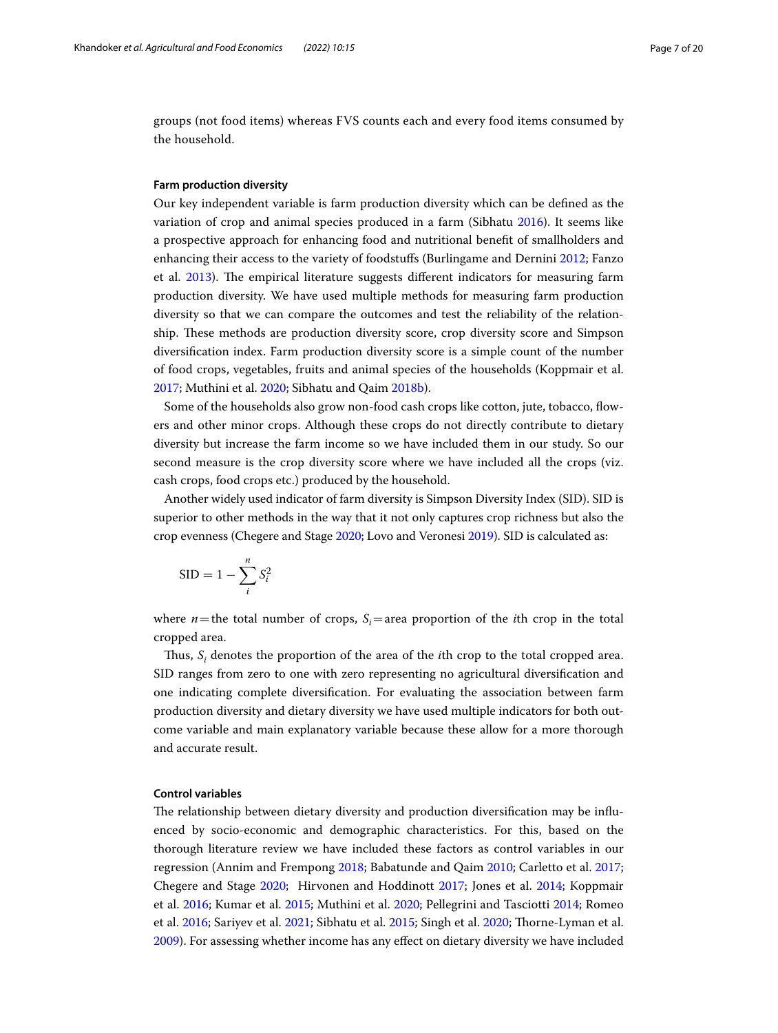groups (not food items) whereas FVS counts each and every food items consumed by the household.

### **Farm production diversity**

Our key independent variable is farm production diversity which can be defned as the variation of crop and animal species produced in a farm (Sibhatu [2016](#page-18-29)). It seems like a prospective approach for enhancing food and nutritional beneft of smallholders and enhancing their access to the variety of foodstufs (Burlingame and Dernini [2012](#page-17-20); Fanzo et al. [2013](#page-17-21)). The empirical literature suggests different indicators for measuring farm production diversity. We have used multiple methods for measuring farm production diversity so that we can compare the outcomes and test the reliability of the relationship. These methods are production diversity score, crop diversity score and Simpson diversifcation index. Farm production diversity score is a simple count of the number of food crops, vegetables, fruits and animal species of the households (Koppmair et al. [2017](#page-18-30); Muthini et al. [2020](#page-18-8); Sibhatu and Qaim [2018b\)](#page-18-19).

Some of the households also grow non-food cash crops like cotton, jute, tobacco, fowers and other minor crops. Although these crops do not directly contribute to dietary diversity but increase the farm income so we have included them in our study. So our second measure is the crop diversity score where we have included all the crops (viz. cash crops, food crops etc.) produced by the household.

Another widely used indicator of farm diversity is Simpson Diversity Index (SID). SID is superior to other methods in the way that it not only captures crop richness but also the crop evenness (Chegere and Stage [2020;](#page-17-10) Lovo and Veronesi [2019\)](#page-18-31). SID is calculated as:

$$
SID = 1 - \sum_{i}^{n} S_i^2
$$

where  $n$ =the total number of crops,  $S_i$ =area proportion of the *i*th crop in the total cropped area.

Thus,  $S_i$  denotes the proportion of the area of the *i*th crop to the total cropped area. SID ranges from zero to one with zero representing no agricultural diversifcation and one indicating complete diversifcation. For evaluating the association between farm production diversity and dietary diversity we have used multiple indicators for both outcome variable and main explanatory variable because these allow for a more thorough and accurate result.

## **Control variables**

The relationship between dietary diversity and production diversification may be influenced by socio-economic and demographic characteristics. For this, based on the thorough literature review we have included these factors as control variables in our regression (Annim and Frempong [2018;](#page-17-22) Babatunde and Qaim [2010;](#page-17-23) Carletto et al. [2017](#page-17-24); Chegere and Stage [2020;](#page-17-10) Hirvonen and Hoddinott [2017;](#page-18-32) Jones et al. [2014;](#page-18-9) Koppmair et al. [2016;](#page-18-24) Kumar et al. [2015;](#page-18-33) Muthini et al. [2020](#page-18-8); Pellegrini and Tasciotti [2014](#page-18-17); Romeo et al. [2016](#page-18-34); Sariyev et al. [2021;](#page-18-27) Sibhatu et al. [2015;](#page-18-21) Singh et al. [2020;](#page-18-20) Torne-Lyman et al. [2009](#page-19-5)). For assessing whether income has any efect on dietary diversity we have included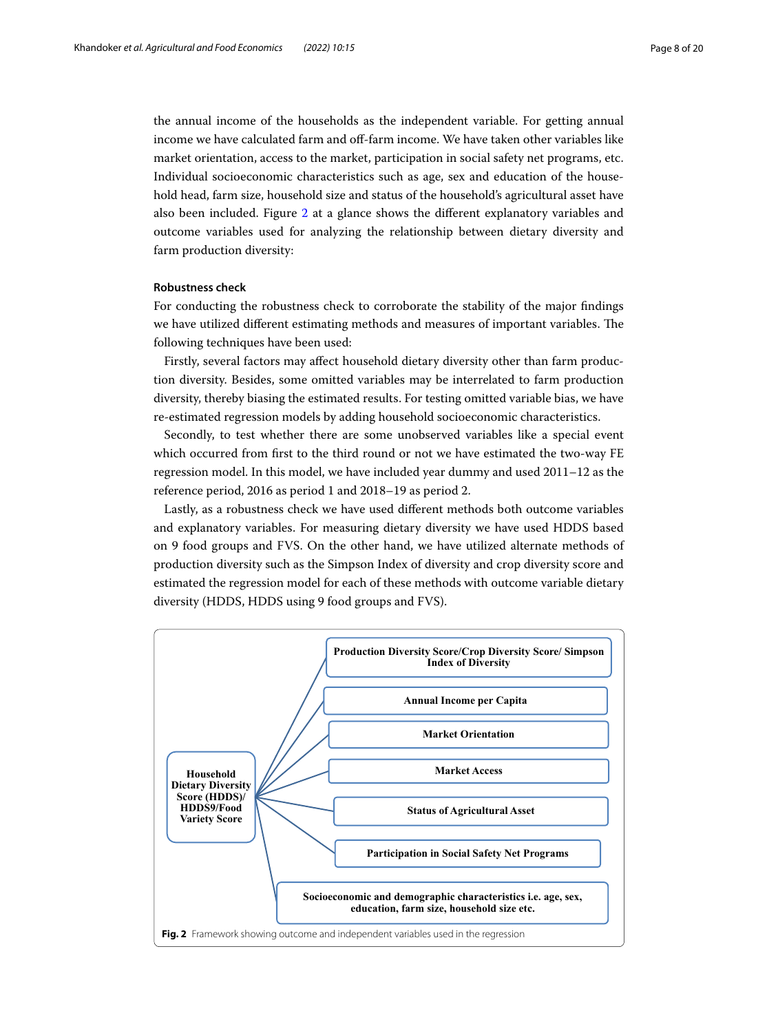the annual income of the households as the independent variable. For getting annual income we have calculated farm and off-farm income. We have taken other variables like market orientation, access to the market, participation in social safety net programs, etc. Individual socioeconomic characteristics such as age, sex and education of the household head, farm size, household size and status of the household's agricultural asset have also been included. Figure [2](#page-7-0) at a glance shows the diferent explanatory variables and outcome variables used for analyzing the relationship between dietary diversity and farm production diversity:

## **Robustness check**

For conducting the robustness check to corroborate the stability of the major fndings we have utilized different estimating methods and measures of important variables. The following techniques have been used:

Firstly, several factors may afect household dietary diversity other than farm production diversity. Besides, some omitted variables may be interrelated to farm production diversity, thereby biasing the estimated results. For testing omitted variable bias, we have re-estimated regression models by adding household socioeconomic characteristics.

Secondly, to test whether there are some unobserved variables like a special event which occurred from frst to the third round or not we have estimated the two-way FE regression model. In this model, we have included year dummy and used 2011–12 as the reference period, 2016 as period 1 and 2018–19 as period 2.

Lastly, as a robustness check we have used diferent methods both outcome variables and explanatory variables. For measuring dietary diversity we have used HDDS based on 9 food groups and FVS. On the other hand, we have utilized alternate methods of production diversity such as the Simpson Index of diversity and crop diversity score and estimated the regression model for each of these methods with outcome variable dietary diversity (HDDS, HDDS using 9 food groups and FVS).

<span id="page-7-0"></span>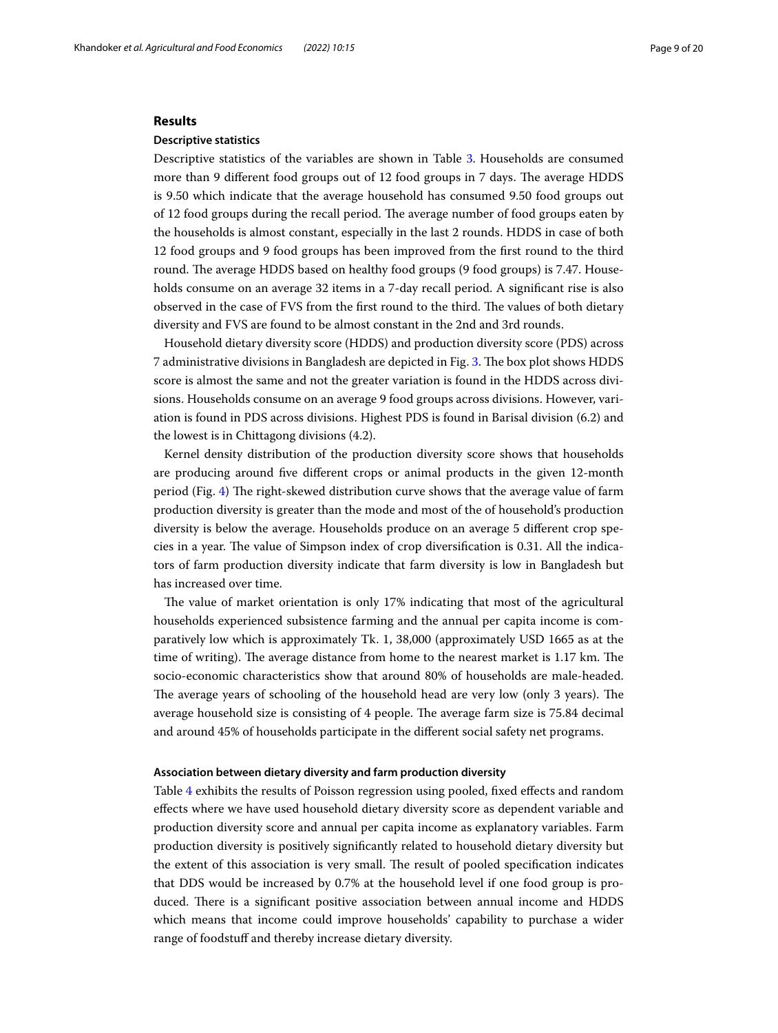## **Results**

## **Descriptive statistics**

Descriptive statistics of the variables are shown in Table [3](#page-9-0). Households are consumed more than 9 different food groups out of 12 food groups in 7 days. The average HDDS is 9.50 which indicate that the average household has consumed 9.50 food groups out of 12 food groups during the recall period. The average number of food groups eaten by the households is almost constant, especially in the last 2 rounds. HDDS in case of both 12 food groups and 9 food groups has been improved from the frst round to the third round. The average HDDS based on healthy food groups (9 food groups) is 7.47. Households consume on an average 32 items in a 7-day recall period. A significant rise is also observed in the case of FVS from the first round to the third. The values of both dietary diversity and FVS are found to be almost constant in the 2nd and 3rd rounds.

Household dietary diversity score (HDDS) and production diversity score (PDS) across 7 administrative divisions in Bangladesh are depicted in Fig. [3](#page-10-0). The box plot shows HDDS score is almost the same and not the greater variation is found in the HDDS across divisions. Households consume on an average 9 food groups across divisions. However, variation is found in PDS across divisions. Highest PDS is found in Barisal division (6.2) and the lowest is in Chittagong divisions (4.2).

Kernel density distribution of the production diversity score shows that households are producing around fve diferent crops or animal products in the given 12-month period (Fig. [4](#page-10-1)) The right-skewed distribution curve shows that the average value of farm production diversity is greater than the mode and most of the of household's production diversity is below the average. Households produce on an average 5 diferent crop species in a year. The value of Simpson index of crop diversification is 0.31. All the indicators of farm production diversity indicate that farm diversity is low in Bangladesh but has increased over time.

The value of market orientation is only 17% indicating that most of the agricultural households experienced subsistence farming and the annual per capita income is comparatively low which is approximately Tk. 1, 38,000 (approximately USD 1665 as at the time of writing). The average distance from home to the nearest market is 1.17 km. The socio-economic characteristics show that around 80% of households are male-headed. The average years of schooling of the household head are very low (only 3 years). The average household size is consisting of  $4$  people. The average farm size is 75.84 decimal and around 45% of households participate in the diferent social safety net programs.

#### **Association between dietary diversity and farm production diversity**

Table [4](#page-10-2) exhibits the results of Poisson regression using pooled, fxed efects and random efects where we have used household dietary diversity score as dependent variable and production diversity score and annual per capita income as explanatory variables. Farm production diversity is positively signifcantly related to household dietary diversity but the extent of this association is very small. The result of pooled specification indicates that DDS would be increased by 0.7% at the household level if one food group is produced. There is a significant positive association between annual income and HDDS which means that income could improve households' capability to purchase a wider range of foodstuff and thereby increase dietary diversity.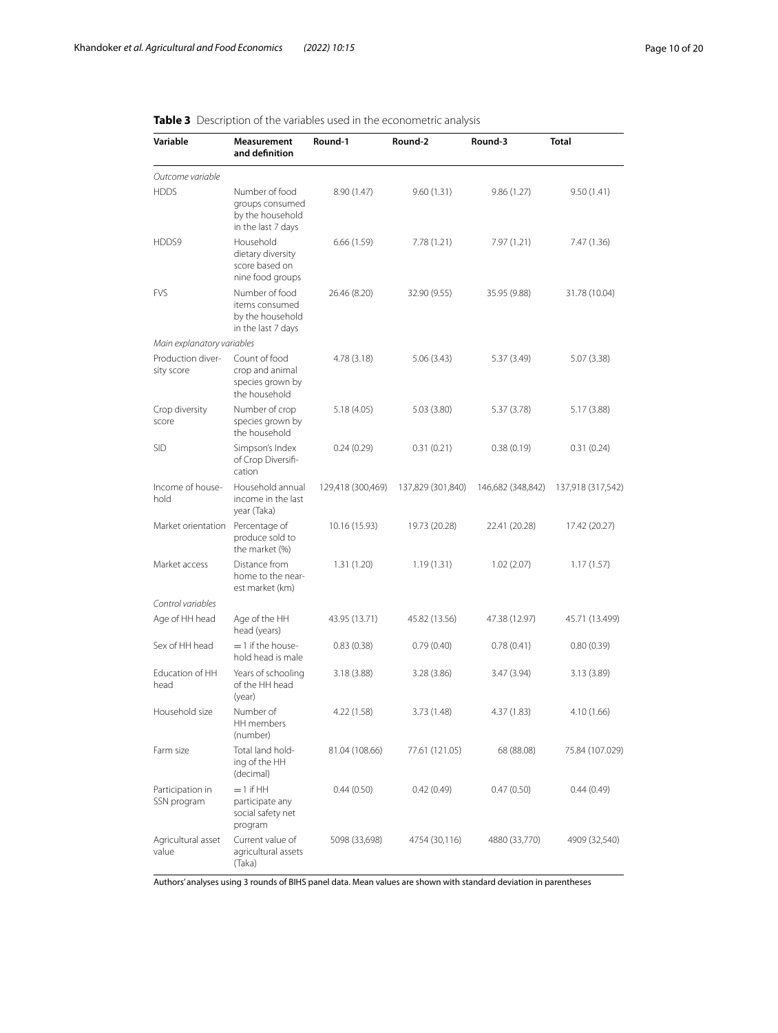## <span id="page-9-0"></span>**Table 3** Description of the variables used in the econometric analysis

| Variable                         | Measurement<br>and definition                                               | Round-1           | Round-2           | Round-3           | <b>Total</b>      |
|----------------------------------|-----------------------------------------------------------------------------|-------------------|-------------------|-------------------|-------------------|
| Outcome variable                 |                                                                             |                   |                   |                   |                   |
| <b>HDDS</b>                      | Number of food<br>groups consumed<br>by the household<br>in the last 7 days | 8.90 (1.47)       | 9.60(1.31)        | 9.86(1.27)        | 9.50(1.41)        |
| HDDS9                            | Household<br>dietary diversity<br>score based on<br>nine food groups        | 6.66(1.59)        | 7.78(1.21)        | 7.97 (1.21)       | 7.47 (1.36)       |
| <b>FVS</b>                       | Number of food<br>items consumed<br>by the household<br>in the last 7 days  | 26.46 (8.20)      | 32.90 (9.55)      | 35.95 (9.88)      | 31.78 (10.04)     |
| Main explanatory variables       |                                                                             |                   |                   |                   |                   |
| Production diver-<br>sity score  | Count of food<br>crop and animal<br>species grown by<br>the household       | 4.78 (3.18)       | 5.06(3.43)        | 5.37 (3.49)       | 5.07 (3.38)       |
| Crop diversity<br>score          | Number of crop<br>species grown by<br>the household                         | 5.18(4.05)        | 5.03(3.80)        | 5.37 (3.78)       | 5.17 (3.88)       |
| <b>SID</b>                       | Simpson's Index<br>of Crop Diversifi-<br>cation                             | 0.24(0.29)        | 0.31(0.21)        | 0.38(0.19)        | 0.31(0.24)        |
| Income of house-<br>hold         | Household annual<br>income in the last<br>year (Taka)                       | 129,418 (300,469) | 137,829 (301,840) | 146,682 (348,842) | 137,918 (317,542) |
| Market orientation Percentage of | produce sold to<br>the market (%)                                           | 10.16 (15.93)     | 19.73 (20.28)     | 22.41 (20.28)     | 17.42 (20.27)     |
| Market access                    | Distance from<br>home to the near-<br>est market (km)                       | 1.31(1.20)        | 1.19(1.31)        | 1.02(2.07)        | 1.17(1.57)        |
| Control variables                |                                                                             |                   |                   |                   |                   |
| Age of HH head                   | Age of the HH<br>head (years)                                               | 43.95 (13.71)     | 45.82 (13.56)     | 47.38 (12.97)     | 45.71 (13.499)    |
| Sex of HH head                   | $=$ 1 if the house-<br>hold head is male                                    | 0.83(0.38)        | 0.79(0.40)        | 0.78(0.41)        | 0.80(0.39)        |
| Education of HH<br>head          | Years of schooling<br>of the HH head<br>(year)                              | 3.18(3.88)        | 3.28 (3.86)       | 3.47 (3.94)       | 3.13(3.89)        |
| Household size                   | Number of<br>HH members<br>(number)                                         | 4.22 (1.58)       | 3.73 (1.48)       | 4.37 (1.83)       | 4.10 (1.66)       |
| Farm size                        | Total land hold-<br>ing of the HH<br>(decimal)                              | 81.04 (108.66)    | 77.61 (121.05)    | 68 (88.08)        | 75.84 (107.029)   |
| Participation in<br>SSN program  | $=$ 1 if HH<br>participate any<br>social safety net<br>program              | 0.44(0.50)        | 0.42(0.49)        | 0.47(0.50)        | 0.44(0.49)        |
| Agricultural asset<br>value      | Current value of<br>agricultural assets<br>(Taka)                           | 5098 (33,698)     | 4754 (30,116)     | 4880 (33,770)     | 4909 (32,540)     |

Authors' analyses using 3 rounds of BIHS panel data. Mean values are shown with standard deviation in parentheses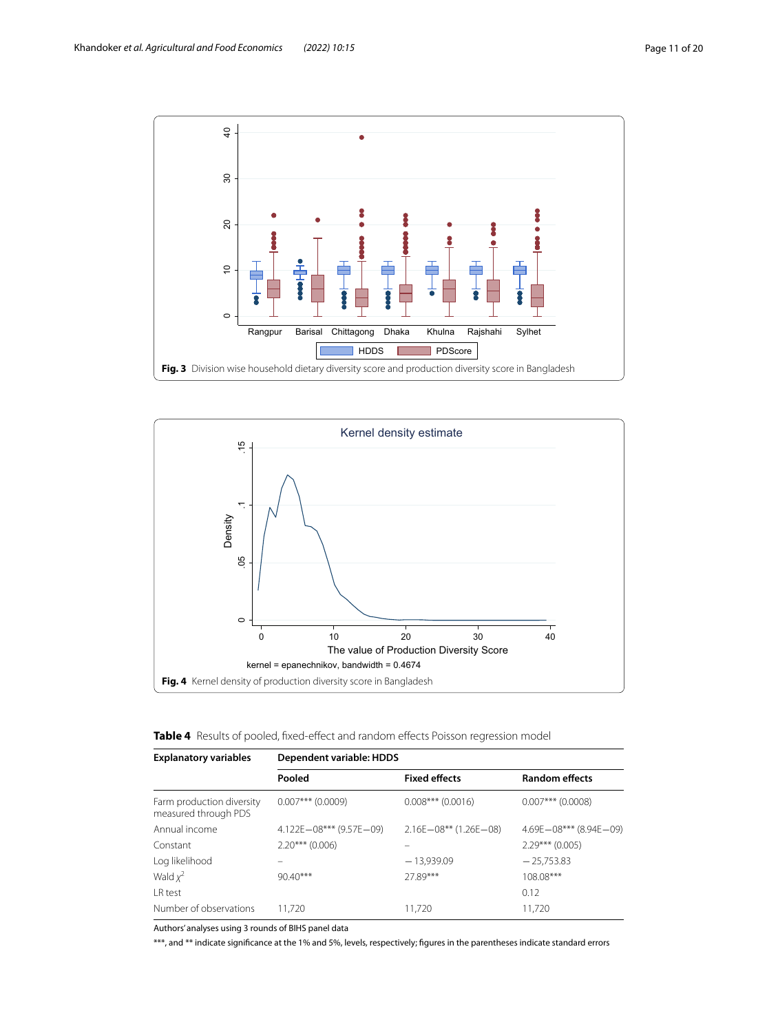

<span id="page-10-0"></span>

<span id="page-10-2"></span><span id="page-10-1"></span>

| <b>Table 4</b> Results of pooled, fixed-effect and random effects Poisson regression model |  |  |  |  |  |  |  |
|--------------------------------------------------------------------------------------------|--|--|--|--|--|--|--|
|--------------------------------------------------------------------------------------------|--|--|--|--|--|--|--|

| <b>Explanatory variables</b>                      | Dependent variable: HDDS        |                                |                            |  |  |
|---------------------------------------------------|---------------------------------|--------------------------------|----------------------------|--|--|
|                                                   | Pooled                          | <b>Fixed effects</b>           | <b>Random effects</b>      |  |  |
| Farm production diversity<br>measured through PDS | $0.007***$ (0.0009)             | $0.008***$ (0.0016)            | $0.007***$ (0.0008)        |  |  |
| Annual income                                     | $4.122E - 08***$ (9.57E $-09$ ) | $2.16E - 08***$ (1.26E $-08$ ) | $4.69E - 08***$ (8.94E-09) |  |  |
| Constant                                          | $2.20***$ (0.006)               |                                | $2.29***$ (0.005)          |  |  |
| Log likelihood                                    |                                 | $-13,939.09$                   | $-25,753.83$               |  |  |
| Wald $x^2$                                        | $90.40***$                      | 2789***                        | 108.08***                  |  |  |
| I R test                                          |                                 |                                | 0.12                       |  |  |
| Number of observations                            | 11.720                          | 11.720                         | 11.720                     |  |  |

Authors' analyses using 3 rounds of BIHS panel data

\*\*\*, and \*\* indicate signifcance at the 1% and 5%, levels, respectively; fgures in the parentheses indicate standard errors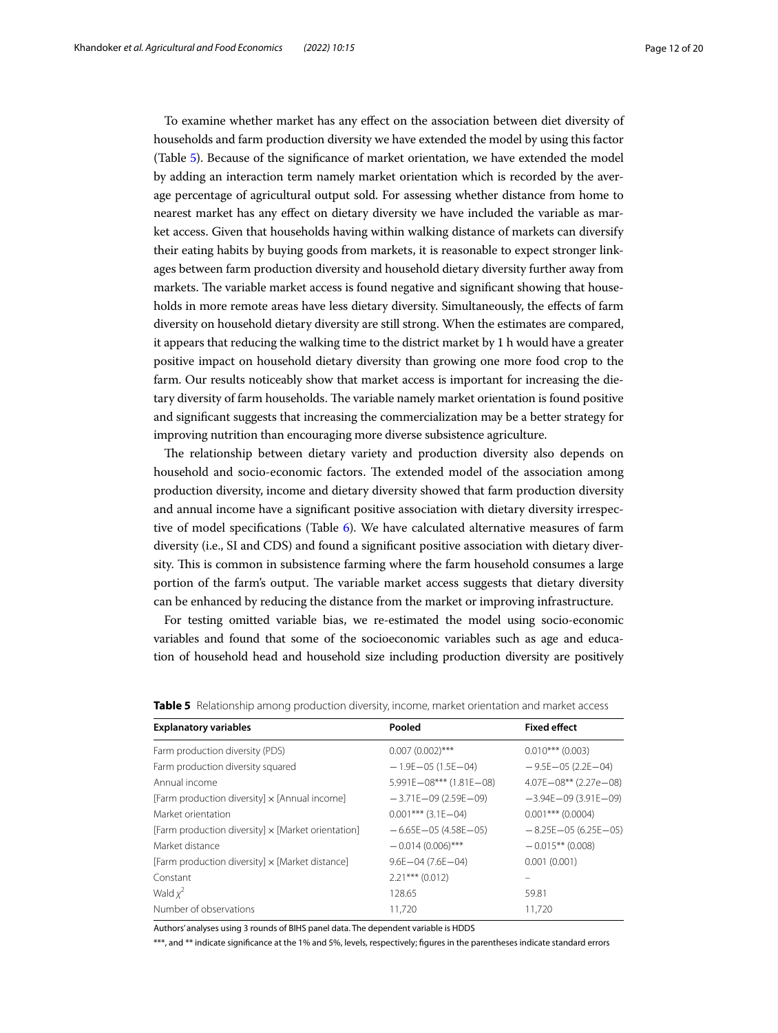To examine whether market has any efect on the association between diet diversity of households and farm production diversity we have extended the model by using this factor (Table [5](#page-11-0)). Because of the signifcance of market orientation, we have extended the model by adding an interaction term namely market orientation which is recorded by the average percentage of agricultural output sold. For assessing whether distance from home to nearest market has any efect on dietary diversity we have included the variable as market access. Given that households having within walking distance of markets can diversify their eating habits by buying goods from markets, it is reasonable to expect stronger linkages between farm production diversity and household dietary diversity further away from markets. The variable market access is found negative and significant showing that households in more remote areas have less dietary diversity. Simultaneously, the efects of farm diversity on household dietary diversity are still strong. When the estimates are compared, it appears that reducing the walking time to the district market by 1 h would have a greater positive impact on household dietary diversity than growing one more food crop to the farm. Our results noticeably show that market access is important for increasing the dietary diversity of farm households. The variable namely market orientation is found positive and signifcant suggests that increasing the commercialization may be a better strategy for improving nutrition than encouraging more diverse subsistence agriculture.

The relationship between dietary variety and production diversity also depends on household and socio-economic factors. The extended model of the association among production diversity, income and dietary diversity showed that farm production diversity and annual income have a signifcant positive association with dietary diversity irrespective of model specifcations (Table [6\)](#page-12-0). We have calculated alternative measures of farm diversity (i.e., SI and CDS) and found a signifcant positive association with dietary diversity. This is common in subsistence farming where the farm household consumes a large portion of the farm's output. The variable market access suggests that dietary diversity can be enhanced by reducing the distance from the market or improving infrastructure.

For testing omitted variable bias, we re-estimated the model using socio-economic variables and found that some of the socioeconomic variables such as age and education of household head and household size including production diversity are positively

| <b>Explanatory variables</b>                              | Pooled                          | <b>Fixed effect</b>            |
|-----------------------------------------------------------|---------------------------------|--------------------------------|
| Farm production diversity (PDS)                           | $0.007(0.002)$ ***              | $0.010***$ (0.003)             |
| Farm production diversity squared                         | $-1.9E - 05(1.5E - 04)$         | $-9.5E - 05(2.2E - 04)$        |
| Annual income                                             | $5.991E - 08***$ (1.81E $-08$ ) | $4.07E - 08***$ (2.27e $-08$ ) |
| [Farm production diversity] x [Annual income]             | $-3.71E - 09(2.59E - 09)$       | $-3.94E - 09(3.91E - 09)$      |
| Market orientation                                        | $0.001***$ (3.1E $-04$ )        | $0.001$ *** (0.0004)           |
| [Farm production diversity] $\times$ [Market orientation] | $-6.65E - 05(4.58E - 05)$       | $-8.25E - 05(6.25E - 05)$      |
| Market distance                                           | $-0.014(0.006)$ ***             | $-0.015**$ (0.008)             |
| [Farm production diversity] $\times$ [Market distance]    | $9.6E - 04(7.6E - 04)$          | 0.001(0.001)                   |
| Constant                                                  | $2.21***$ (0.012)               |                                |
| Wald $x^2$                                                | 128.65                          | 59.81                          |
| Number of observations                                    | 11.720                          | 11.720                         |

<span id="page-11-0"></span>

|  |  |  |  | Table 5 Relationship among production diversity, income, market orientation and market access |  |
|--|--|--|--|-----------------------------------------------------------------------------------------------|--|
|--|--|--|--|-----------------------------------------------------------------------------------------------|--|

Authors' analyses using 3 rounds of BIHS panel data. The dependent variable is HDDS

\*\*\*, and \*\* indicate signifcance at the 1% and 5%, levels, respectively; fgures in the parentheses indicate standard errors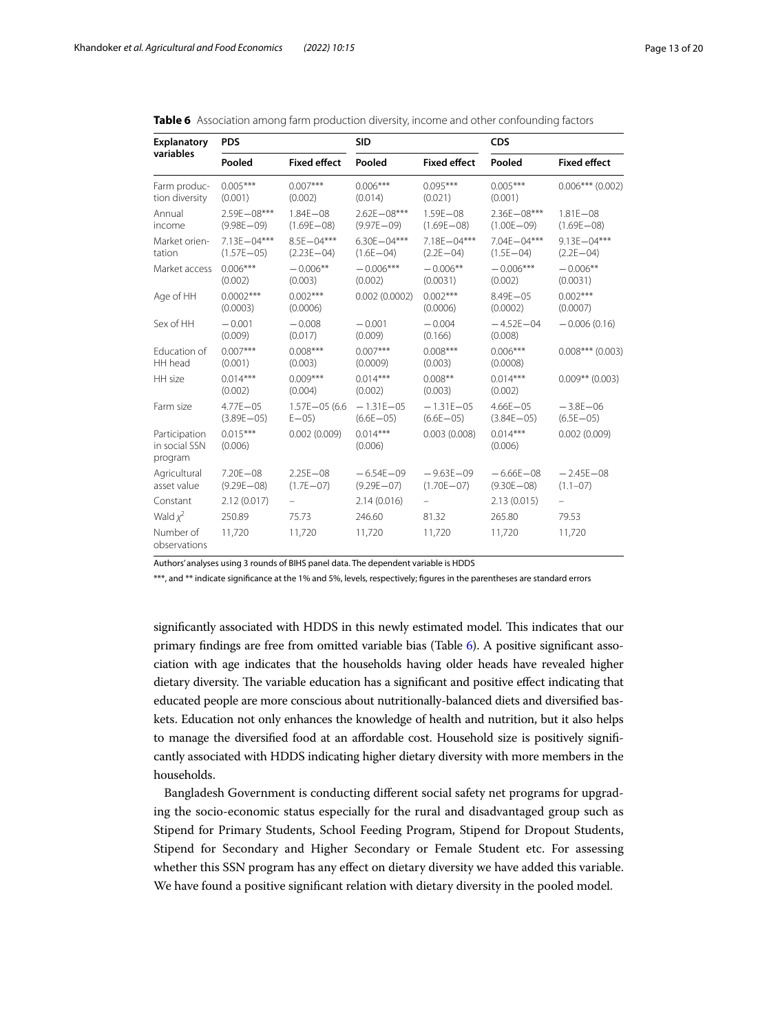| Explanatory                               | <b>PDS</b>                        |                                  | <b>SID</b>                        |                                  | <b>CDS</b>                        |                                  |  |
|-------------------------------------------|-----------------------------------|----------------------------------|-----------------------------------|----------------------------------|-----------------------------------|----------------------------------|--|
| variables                                 | Pooled                            | <b>Fixed effect</b>              | Pooled                            | <b>Fixed effect</b>              | Pooled                            | <b>Fixed effect</b>              |  |
| Farm produc-<br>tion diversity            | $0.005***$<br>(0.001)             | $0.007***$<br>(0.002)            | $0.006***$<br>(0.014)             | $0.095***$<br>(0.021)            | $0.005***$<br>(0.001)             | $0.006***$ (0.002)               |  |
| Annual<br>income                          | $2.59F - 08***$<br>$(9.98E - 09)$ | $1.84F - 08$<br>$(1.69E - 08)$   | $2.62F - 08***$<br>$(9.97E - 09)$ | $1.59E - 08$<br>$(1.69E - 08)$   | $2.36F - 08***$<br>$(1.00E - 09)$ | $1.81E - 08$<br>$(1.69E - 08)$   |  |
| Market orien-<br>tation                   | 7.13E-04***<br>$(1.57E - 05)$     | $8.5F - 04***$<br>$(2.23E - 04)$ | $6.30F - 04***$<br>$(1.6E - 04)$  | $7.18F - 04***$<br>$(2.2E - 04)$ | $7.04F - 04***$<br>$(1.5E - 04)$  | $9.13F - 04***$<br>$(2.2E - 04)$ |  |
| Market access                             | $0.006***$<br>(0.002)             | $-0.006**$<br>(0.003)            | $-0.006***$<br>(0.002)            | $-0.006**$<br>(0.0031)           | $-0.006***$<br>(0.002)            | $-0.006**$<br>(0.0031)           |  |
| Age of HH                                 | $0.0002***$<br>(0.0003)           | $0.002***$<br>(0.0006)           | 0.002(0.0002)                     | $0.002***$<br>(0.0006)           | $8.49E - 05$<br>(0.0002)          | $0.002***$<br>(0.0007)           |  |
| Sex of HH                                 | $-0.001$<br>(0.009)               | $-0.008$<br>(0.017)              | $-0.001$<br>(0.009)               | $-0.004$<br>(0.166)              | $-4.52E - 04$<br>(0.008)          | $-0.006(0.16)$                   |  |
| Education of<br>HH head                   | $0.007***$<br>(0.001)             | $0.008***$<br>(0.003)            | $0.007***$<br>(0.0009)            | $0.008***$<br>(0.003)            | $0.006***$<br>(0.0008)            | $0.008***$ (0.003)               |  |
| HH size                                   | $0.014***$<br>(0.002)             | $0.009***$<br>(0.004)            | $0.014***$<br>(0.002)             | $0.008**$<br>(0.003)             | $0.014***$<br>(0.002)             | $0.009**$ (0.003)                |  |
| Farm size                                 | $4.77E - 05$<br>$(3.89E - 05)$    | $1.57E - 05(6.6)$<br>$E - 05$    | $-1.31E - 05$<br>$(6.6E - 05)$    | $-1.31E - 05$<br>$(6.6E - 05)$   | $4.66E - 05$<br>$(3.84E - 05)$    | $-3.8E - 06$<br>$(6.5E - 05)$    |  |
| Participation<br>in social SSN<br>program | $0.015***$<br>(0.006)             | 0.002(0.009)                     | $0.014***$<br>(0.006)             | 0.003(0.008)                     | $0.014***$<br>(0.006)             | 0.002(0.009)                     |  |
| Agricultural<br>asset value               | $7.20E - 08$<br>$(9.29E - 08)$    | $2.25E - 08$<br>$(1.7E - 07)$    | $-6.54E - 09$<br>$(9.29E - 07)$   | $-9.63E - 09$<br>$(1.70E - 07)$  | $-6.66E - 08$<br>$(9.30E - 08)$   | $-2.45E - 08$<br>$(1.1 - 07)$    |  |
| Constant                                  | 2.12(0.017)                       |                                  | 2.14(0.016)                       |                                  | 2.13(0.015)                       |                                  |  |
| Wald $\chi^2$                             | 250.89                            | 75.73                            | 246.60                            | 81.32                            | 265.80                            | 79.53                            |  |
| Number of<br>observations                 | 11,720                            | 11,720                           | 11,720                            | 11,720                           | 11,720                            | 11,720                           |  |

<span id="page-12-0"></span>

|  |  | Table 6 Association among farm production diversity, income and other confounding factors |  |  |
|--|--|-------------------------------------------------------------------------------------------|--|--|
|  |  |                                                                                           |  |  |

Authors' analyses using 3 rounds of BIHS panel data. The dependent variable is HDDS

\*\*\*, and \*\* indicate signifcance at the 1% and 5%, levels, respectively; fgures in the parentheses are standard errors

significantly associated with HDDS in this newly estimated model. This indicates that our primary fndings are free from omitted variable bias (Table [6\)](#page-12-0). A positive signifcant association with age indicates that the households having older heads have revealed higher dietary diversity. The variable education has a significant and positive effect indicating that educated people are more conscious about nutritionally-balanced diets and diversifed baskets. Education not only enhances the knowledge of health and nutrition, but it also helps to manage the diversifed food at an afordable cost. Household size is positively signifcantly associated with HDDS indicating higher dietary diversity with more members in the households.

Bangladesh Government is conducting diferent social safety net programs for upgrading the socio-economic status especially for the rural and disadvantaged group such as Stipend for Primary Students, School Feeding Program, Stipend for Dropout Students, Stipend for Secondary and Higher Secondary or Female Student etc. For assessing whether this SSN program has any effect on dietary diversity we have added this variable. We have found a positive signifcant relation with dietary diversity in the pooled model.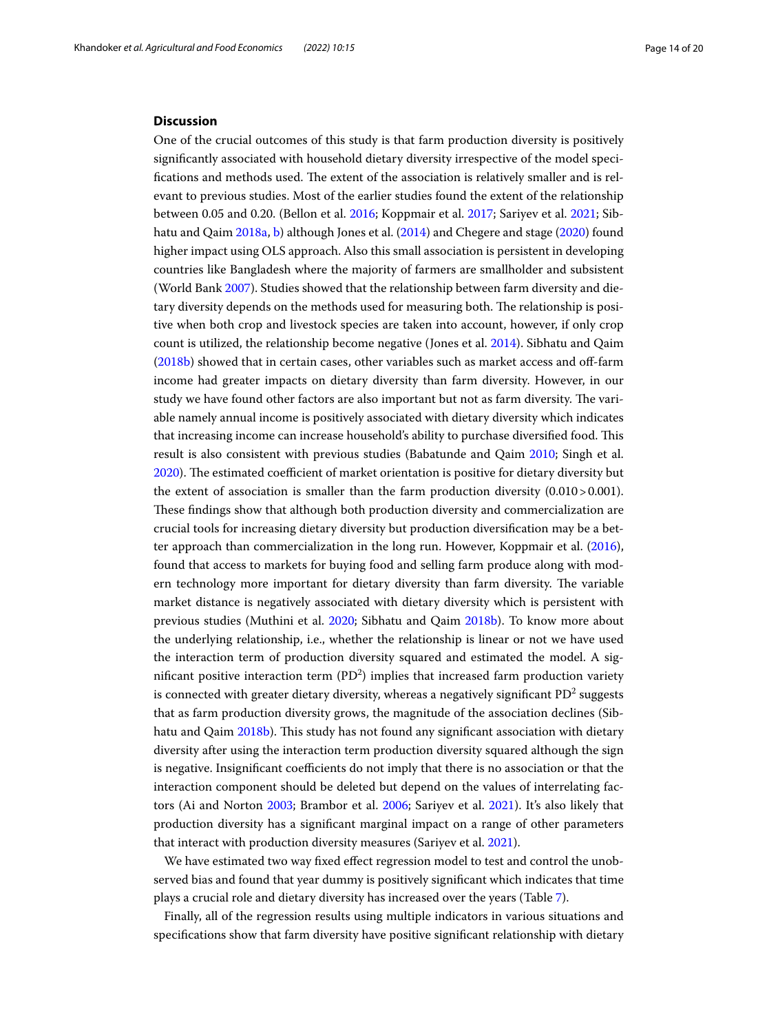## **Discussion**

One of the crucial outcomes of this study is that farm production diversity is positively signifcantly associated with household dietary diversity irrespective of the model specifications and methods used. The extent of the association is relatively smaller and is relevant to previous studies. Most of the earlier studies found the extent of the relationship between 0.05 and 0.20. (Bellon et al. [2016](#page-17-17); Koppmair et al. [2017;](#page-18-30) Sariyev et al. [2021](#page-18-27); Sibhatu and Qaim [2018a,](#page-18-0) [b](#page-18-19)) although Jones et al. ([2014](#page-18-9)) and Chegere and stage ([2020](#page-17-10)) found higher impact using OLS approach. Also this small association is persistent in developing countries like Bangladesh where the majority of farmers are smallholder and subsistent (World Bank [2007\)](#page-19-6). Studies showed that the relationship between farm diversity and dietary diversity depends on the methods used for measuring both. The relationship is positive when both crop and livestock species are taken into account, however, if only crop count is utilized, the relationship become negative (Jones et al. [2014](#page-18-9)). Sibhatu and Qaim  $(2018b)$  $(2018b)$  showed that in certain cases, other variables such as market access and off-farm income had greater impacts on dietary diversity than farm diversity. However, in our study we have found other factors are also important but not as farm diversity. The variable namely annual income is positively associated with dietary diversity which indicates that increasing income can increase household's ability to purchase diversified food. This result is also consistent with previous studies (Babatunde and Qaim [2010](#page-17-23); Singh et al. [2020](#page-18-20)). The estimated coefficient of market orientation is positive for dietary diversity but the extent of association is smaller than the farm production diversity  $(0.010 > 0.001)$ . These findings show that although both production diversity and commercialization are crucial tools for increasing dietary diversity but production diversifcation may be a better approach than commercialization in the long run. However, Koppmair et al. ([2016](#page-18-24)), found that access to markets for buying food and selling farm produce along with modern technology more important for dietary diversity than farm diversity. The variable market distance is negatively associated with dietary diversity which is persistent with previous studies (Muthini et al. [2020](#page-18-8); Sibhatu and Qaim [2018b\)](#page-18-19). To know more about the underlying relationship, i.e., whether the relationship is linear or not we have used the interaction term of production diversity squared and estimated the model. A significant positive interaction term  $(PD^2)$  implies that increased farm production variety is connected with greater dietary diversity, whereas a negatively significant PD $^2$  suggests that as farm production diversity grows, the magnitude of the association declines (Sib-hatu and Qaim [2018b\)](#page-18-19). This study has not found any significant association with dietary diversity after using the interaction term production diversity squared although the sign is negative. Insignificant coefficients do not imply that there is no association or that the interaction component should be deleted but depend on the values of interrelating factors (Ai and Norton [2003](#page-17-25); Brambor et al. [2006;](#page-17-26) Sariyev et al. [2021](#page-18-27)). It's also likely that production diversity has a signifcant marginal impact on a range of other parameters that interact with production diversity measures (Sariyev et al. [2021](#page-18-27)).

We have estimated two way fixed effect regression model to test and control the unobserved bias and found that year dummy is positively signifcant which indicates that time plays a crucial role and dietary diversity has increased over the years (Table [7](#page-15-0)).

Finally, all of the regression results using multiple indicators in various situations and specifcations show that farm diversity have positive signifcant relationship with dietary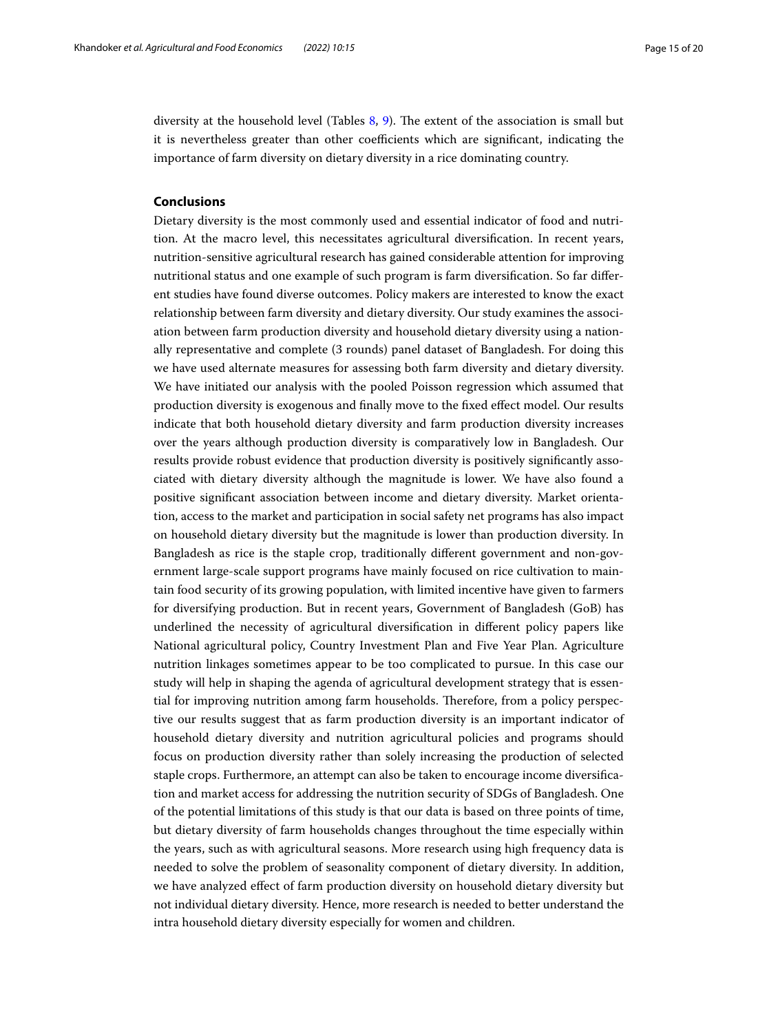diversity at the household level (Tables [8,](#page-15-1) [9\)](#page-16-0). The extent of the association is small but it is nevertheless greater than other coefficients which are significant, indicating the importance of farm diversity on dietary diversity in a rice dominating country.

## **Conclusions**

Dietary diversity is the most commonly used and essential indicator of food and nutrition. At the macro level, this necessitates agricultural diversifcation. In recent years, nutrition-sensitive agricultural research has gained considerable attention for improving nutritional status and one example of such program is farm diversifcation. So far diferent studies have found diverse outcomes. Policy makers are interested to know the exact relationship between farm diversity and dietary diversity. Our study examines the association between farm production diversity and household dietary diversity using a nationally representative and complete (3 rounds) panel dataset of Bangladesh. For doing this we have used alternate measures for assessing both farm diversity and dietary diversity. We have initiated our analysis with the pooled Poisson regression which assumed that production diversity is exogenous and fnally move to the fxed efect model. Our results indicate that both household dietary diversity and farm production diversity increases over the years although production diversity is comparatively low in Bangladesh. Our results provide robust evidence that production diversity is positively signifcantly associated with dietary diversity although the magnitude is lower. We have also found a positive signifcant association between income and dietary diversity. Market orientation, access to the market and participation in social safety net programs has also impact on household dietary diversity but the magnitude is lower than production diversity. In Bangladesh as rice is the staple crop, traditionally diferent government and non-government large-scale support programs have mainly focused on rice cultivation to maintain food security of its growing population, with limited incentive have given to farmers for diversifying production. But in recent years, Government of Bangladesh (GoB) has underlined the necessity of agricultural diversifcation in diferent policy papers like National agricultural policy, Country Investment Plan and Five Year Plan. Agriculture nutrition linkages sometimes appear to be too complicated to pursue. In this case our study will help in shaping the agenda of agricultural development strategy that is essential for improving nutrition among farm households. Therefore, from a policy perspective our results suggest that as farm production diversity is an important indicator of household dietary diversity and nutrition agricultural policies and programs should focus on production diversity rather than solely increasing the production of selected staple crops. Furthermore, an attempt can also be taken to encourage income diversifcation and market access for addressing the nutrition security of SDGs of Bangladesh. One of the potential limitations of this study is that our data is based on three points of time, but dietary diversity of farm households changes throughout the time especially within the years, such as with agricultural seasons. More research using high frequency data is needed to solve the problem of seasonality component of dietary diversity. In addition, we have analyzed efect of farm production diversity on household dietary diversity but not individual dietary diversity. Hence, more research is needed to better understand the intra household dietary diversity especially for women and children.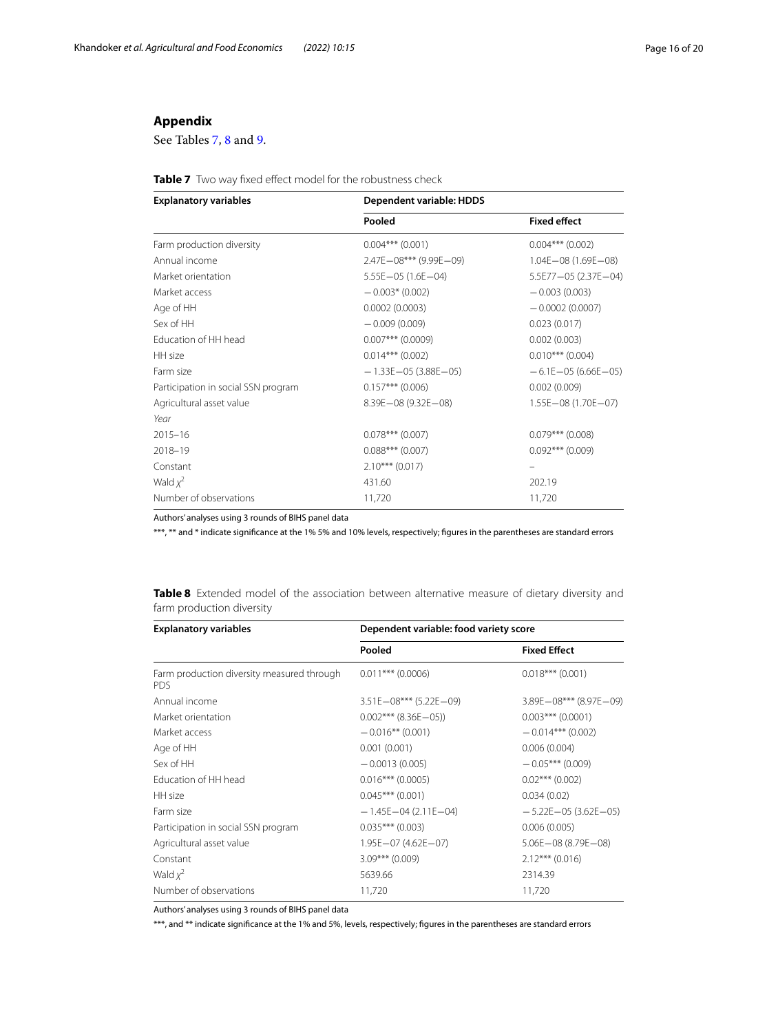## **Appendix**

See Tables [7](#page-15-0), [8](#page-15-1) and [9.](#page-16-0)

<span id="page-15-0"></span>

| <b>Explanatory variables</b>        | Dependent variable: HDDS       |                          |  |  |
|-------------------------------------|--------------------------------|--------------------------|--|--|
|                                     | Pooled                         | <b>Fixed effect</b>      |  |  |
| Farm production diversity           | $0.004***$ (0.001)             | $0.004***$ (0.002)       |  |  |
| Annual income                       | $2.47E - 08***$ (9.99E $-09$ ) | $1.04E - 08(1.69E - 08)$ |  |  |
| Market orientation                  | $5.55E - 05(1.6E - 04)$        | 5.5E77-05 (2.37E-04)     |  |  |
| Market access                       | $-0.003*(0.002)$               | $-0.003(0.003)$          |  |  |
| Age of HH                           | 0.0002(0.0003)                 | $-0.0002(0.0007)$        |  |  |
| Sex of HH                           | $-0.009(0.009)$                | 0.023(0.017)             |  |  |
| Education of HH head                | $0.007***$ (0.0009)            | 0.002(0.003)             |  |  |
| HH size                             | $0.014***$ (0.002)             | $0.010***$ (0.004)       |  |  |
| Farm size                           | $-1.33E - 05(3.88E - 05)$      | $-6.1E - 05(6.66E - 05)$ |  |  |
| Participation in social SSN program | $0.157***$ (0.006)             | 0.002(0.009)             |  |  |
| Agricultural asset value            | $8.39E - 08(9.32E - 08)$       | $1.55E - 08(1.70E - 07)$ |  |  |
| Year                                |                                |                          |  |  |
| $2015 - 16$                         | $0.078***$ (0.007)             | $0.079***$ (0.008)       |  |  |
| $2018 - 19$                         | $0.088***$ (0.007)             | $0.092***$ (0.009)       |  |  |
| Constant                            | $2.10***$ (0.017)              |                          |  |  |
| Wald $x^2$                          | 431.60                         | 202.19                   |  |  |
| Number of observations              | 11,720                         | 11,720                   |  |  |

Authors' analyses using 3 rounds of BIHS panel data

\*\*\*, \*\* and \* indicate signifcance at the 1% 5% and 10% levels, respectively; fgures in the parentheses are standard errors

| <b>Explanatory variables</b>                             | Dependent variable: food variety score |                            |  |
|----------------------------------------------------------|----------------------------------------|----------------------------|--|
|                                                          | Pooled                                 | <b>Fixed Effect</b>        |  |
| Farm production diversity measured through<br><b>PDS</b> | $0.011***$ (0.0006)                    | $0.018***$ (0.001)         |  |
| Annual income                                            | $3.51E - 08***$ (5.22E-09)             | $3.89E - 08***$ (8.97E-09) |  |
| Market orientation                                       | $0.002***$ (8.36E-05))                 | $0.003***$ (0.0001)        |  |
| Market access                                            | $-0.016**$ (0.001)                     | $-0.014***$ (0.002)        |  |
| Age of HH                                                | 0.001(0.001)                           | 0.006(0.004)               |  |
| Sex of HH                                                | $-0.0013(0.005)$                       | $-0.05***(0.009)$          |  |
| Education of HH head                                     | $0.016***$ (0.0005)                    | $0.02$ *** (0.002)         |  |
| HH size                                                  | $0.045***$ (0.001)                     | 0.034(0.02)                |  |
| Farm size                                                | $-1.45E - 04(2.11E - 04)$              | $-5.22E - 05(3.62E - 05)$  |  |
| Participation in social SSN program                      | $0.035***$ (0.003)                     | 0.006(0.005)               |  |
| Agricultural asset value                                 | $1.95E - 07(4.62E - 07)$               | $5.06E - 08(8.79E - 08)$   |  |
| Constant                                                 | $3.09***$ (0.009)                      | $2.12***$ (0.016)          |  |
| Wald $x^2$                                               | 5639.66                                | 2314.39                    |  |
| Number of observations                                   | 11,720                                 | 11,720                     |  |

<span id="page-15-1"></span>**Table 8** Extended model of the association between alternative measure of dietary diversity and farm production diversity

Authors' analyses using 3 rounds of BIHS panel data

\*\*\*, and \*\* indicate signifcance at the 1% and 5%, levels, respectively; fgures in the parentheses are standard errors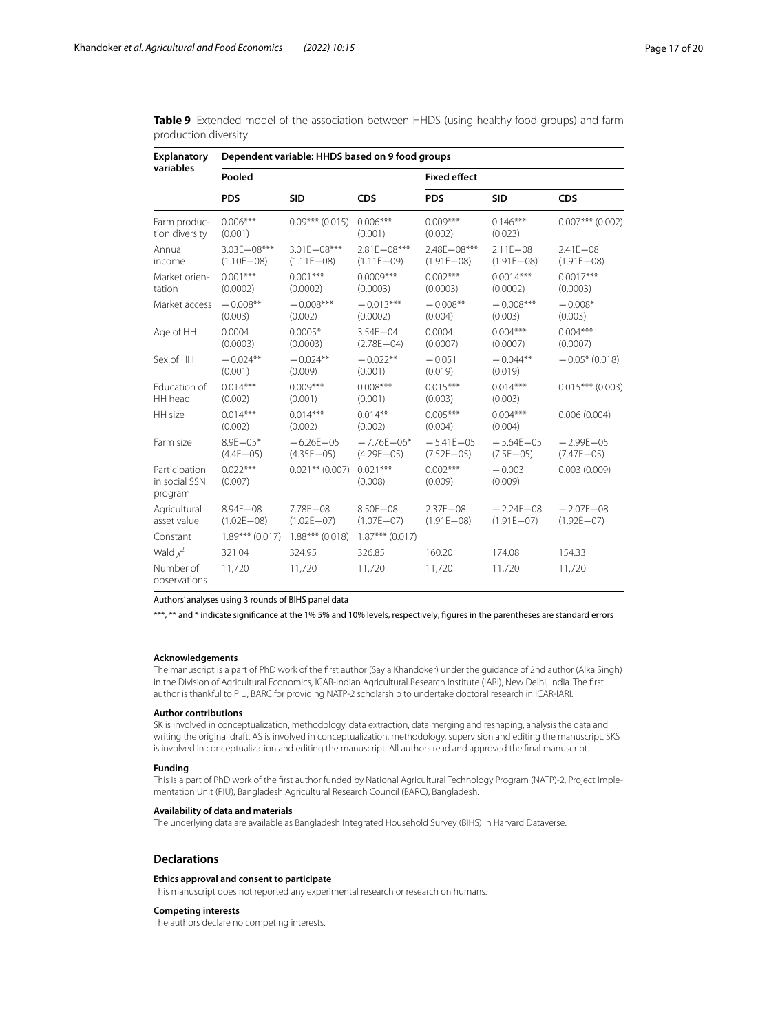| <b>Explanatory</b><br>variables           | Dependent variable: HHDS based on 9 food groups |                                   |                                  |                                   |                                 |                                  |  |
|-------------------------------------------|-------------------------------------------------|-----------------------------------|----------------------------------|-----------------------------------|---------------------------------|----------------------------------|--|
|                                           | Pooled                                          |                                   |                                  | <b>Fixed effect</b>               |                                 |                                  |  |
|                                           | <b>PDS</b>                                      | <b>SID</b>                        | <b>CDS</b>                       | <b>PDS</b>                        | <b>SID</b>                      | <b>CDS</b>                       |  |
| Farm produc-<br>tion diversity            | $0.006***$<br>(0.001)                           | $0.09***$ (0.015)                 | $0.006***$<br>(0.001)            | $0.009***$<br>(0.002)             | $0.146***$<br>(0.023)           | $0.007***$ (0.002)               |  |
| Annual<br>income                          | $3.03E - 08***$<br>$(1.10E - 08)$               | $3.01E - 08***$<br>$(1.11E - 08)$ | 2.81E-08***<br>$(1.11E - 09)$    | $2.48F - 08***$<br>$(1.91E - 08)$ | $2.11E - 08$<br>$(1.91E - 08)$  | $2.41E - 08$<br>$(1.91E - 08)$   |  |
| Market orien-<br>tation                   | $0.001***$<br>(0.0002)                          | $0.001***$<br>(0.0002)            | $0.0009***$<br>(0.0003)          | $0.002***$<br>(0.0003)            | $0.0014***$<br>(0.0002)         | $0.0017***$<br>(0.0003)          |  |
| Market access                             | $-0.008**$<br>(0.003)                           | $-0.008***$<br>(0.002)            | $-0.013***$<br>(0.0002)          | $-0.008**$<br>(0.004)             | $-0.008***$<br>(0.003)          | $-0.008*$<br>(0.003)             |  |
| Age of HH                                 | 0.0004<br>(0.0003)                              | $0.0005*$<br>(0.0003)             | $3.54E - 04$<br>$(2.78E - 04)$   | 0.0004<br>(0.0007)                | $0.004***$<br>(0.0007)          | $0.004***$<br>(0.0007)           |  |
| Sex of HH                                 | $-0.024**$<br>(0.001)                           | $-0.024**$<br>(0.009)             | $-0.022**$<br>(0.001)            | $-0.051$<br>(0.019)               | $-0.044**$<br>(0.019)           | $-0.05*(0.018)$                  |  |
| Education of<br>HH head                   | $0.014***$<br>(0.002)                           | $0.009***$<br>(0.001)             | $0.008***$<br>(0.001)            | $0.015***$<br>(0.003)             | $0.014***$<br>(0.003)           | $0.015***$ (0.003)               |  |
| HH size                                   | $0.014***$<br>(0.002)                           | $0.014***$<br>(0.002)             | $0.014***$<br>(0.002)            | $0.005***$<br>(0.004)             | $0.004***$<br>(0.004)           | 0.006(0.004)                     |  |
| Farm size                                 | $8.9E - 05*$<br>$(4.4E - 05)$                   | $-6.26E - 05$<br>$(4.35E - 05)$   | $-7.76E - 06*$<br>$(4.29E - 05)$ | $-5.41E - 05$<br>$(7.52E - 05)$   | $-5.64E - 05$<br>$(7.5E - 05)$  | $-2.99F - 0.5$<br>$(7.47E - 05)$ |  |
| Participation<br>in social SSN<br>program | $0.022***$<br>(0.007)                           | $0.021$ ** (0.007)                | $0.021***$<br>(0.008)            | $0.002***$<br>(0.009)             | $-0.003$<br>(0.009)             | 0.003(0.009)                     |  |
| Agricultural<br>asset value               | $8.94E - 08$<br>$(1.02E - 08)$                  | 7.78E-08<br>$(1.02E - 07)$        | $8.50E - 08$<br>$(1.07E - 07)$   | $2.37E - 08$<br>$(1.91E - 08)$    | $-2.24E - 08$<br>$(1.91E - 07)$ | $-2.07E - 08$<br>$(1.92E - 07)$  |  |
| Constant                                  | $1.89***$ (0.017)                               | $1.88***$ (0.018)                 | $1.87***$ (0.017)                |                                   |                                 |                                  |  |
| Wald $x^2$                                | 321.04                                          | 324.95                            | 326.85                           | 160.20                            | 174.08                          | 154.33                           |  |
| Number of<br>observations                 | 11,720                                          | 11,720                            | 11,720                           | 11,720                            | 11,720                          | 11,720                           |  |

<span id="page-16-0"></span>**Table 9** Extended model of the association between HHDS (using healthy food groups) and farm production diversity

Authors' analyses using 3 rounds of BIHS panel data

\*\*\*, \*\* and \* indicate signifcance at the 1% 5% and 10% levels, respectively; fgures in the parentheses are standard errors

#### **Acknowledgements**

The manuscript is a part of PhD work of the frst author (Sayla Khandoker) under the guidance of 2nd author (Alka Singh) in the Division of Agricultural Economics, ICAR-Indian Agricultural Research Institute (IARI), New Delhi, India. The frst author is thankful to PIU, BARC for providing NATP-2 scholarship to undertake doctoral research in ICAR-IARI.

#### **Author contributions**

SK is involved in conceptualization, methodology, data extraction, data merging and reshaping, analysis the data and writing the original draft. AS is involved in conceptualization, methodology, supervision and editing the manuscript. SKS is involved in conceptualization and editing the manuscript. All authors read and approved the fnal manuscript.

## **Funding**

This is a part of PhD work of the frst author funded by National Agricultural Technology Program (NATP)-2, Project Implementation Unit (PIU), Bangladesh Agricultural Research Council (BARC), Bangladesh.

#### **Availability of data and materials**

The underlying data are available as Bangladesh Integrated Household Survey (BIHS) in Harvard Dataverse.

### **Declarations**

#### **Ethics approval and consent to participate**

This manuscript does not reported any experimental research or research on humans.

#### **Competing interests**

The authors declare no competing interests.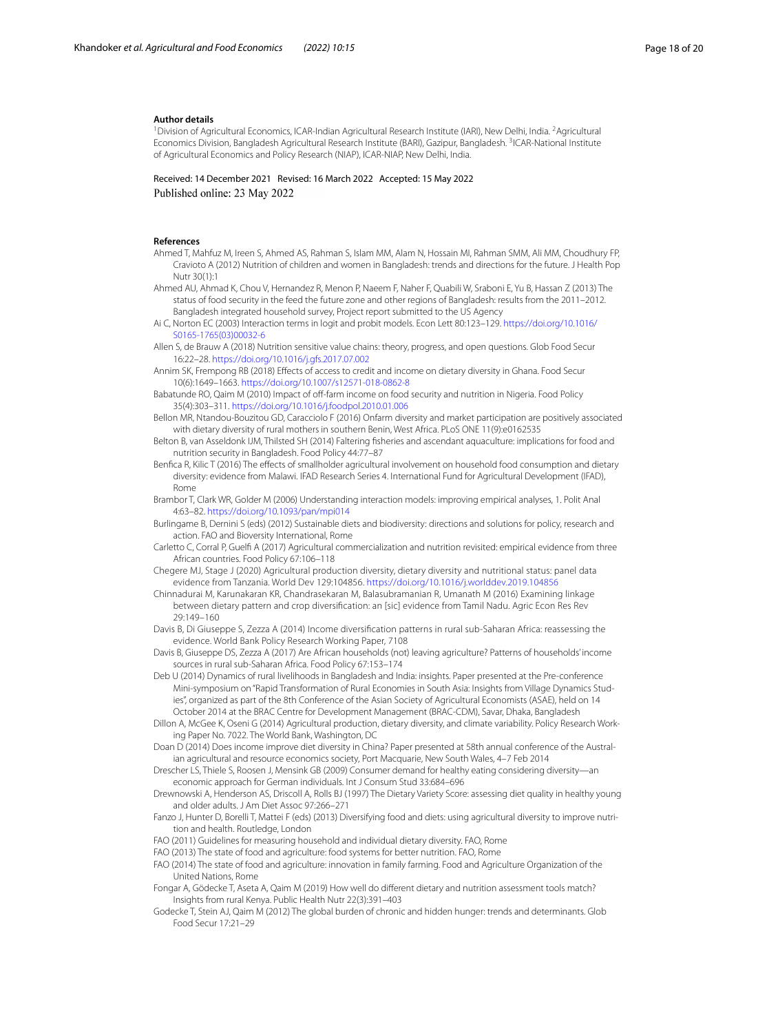#### **Author details**

<sup>1</sup> Division of Agricultural Economics, ICAR-Indian Agricultural Research Institute (IARI), New Delhi, India. <sup>2</sup> Agricultural Economics Division, Bangladesh Agricultural Research Institute (BARI), Gazipur, Bangladesh. <sup>3</sup>ICAR-National Institute of Agricultural Economics and Policy Research (NIAP), ICAR-NIAP, New Delhi, India.

Received: 14 December 2021 Revised: 16 March 2022 Accepted: 15 May 2022 Published online: 23 May 2022

### **References**

<span id="page-17-4"></span>Ahmed T, Mahfuz M, Ireen S, Ahmed AS, Rahman S, Islam MM, Alam N, Hossain MI, Rahman SMM, Ali MM, Choudhury FP, Cravioto A (2012) Nutrition of children and women in Bangladesh: trends and directions for the future. J Health Pop Nutr 30(1):1

<span id="page-17-5"></span>Ahmed AU, Ahmad K, Chou V, Hernandez R, Menon P, Naeem F, Naher F, Quabili W, Sraboni E, Yu B, Hassan Z (2013) The status of food security in the feed the future zone and other regions of Bangladesh: results from the 2011–2012. Bangladesh integrated household survey, Project report submitted to the US Agency

<span id="page-17-25"></span>Ai C, Norton EC (2003) Interaction terms in logit and probit models. Econ Lett 80:123–129. [https://doi.org/10.1016/](https://doi.org/10.1016/S0165-1765(03)00032-6) [S0165-1765\(03\)00032-6](https://doi.org/10.1016/S0165-1765(03)00032-6)

<span id="page-17-0"></span>Allen S, de Brauw A (2018) Nutrition sensitive value chains: theory, progress, and open questions. Glob Food Secur 16:22–28. <https://doi.org/10.1016/j.gfs.2017.07.002>

<span id="page-17-22"></span>Annim SK, Frempong RB (2018) Efects of access to credit and income on dietary diversity in Ghana. Food Secur 10(6):1649–1663. <https://doi.org/10.1007/s12571-018-0862-8>

<span id="page-17-23"></span>Babatunde RO, Qaim M (2010) Impact of off-farm income on food security and nutrition in Nigeria. Food Policy 35(4):303–311. <https://doi.org/10.1016/j.foodpol.2010.01.006>

<span id="page-17-17"></span>Bellon MR, Ntandou-Bouzitou GD, Caracciolo F (2016) Onfarm diversity and market participation are positively associated with dietary diversity of rural mothers in southern Benin, West Africa. PLoS ONE 11(9):e0162535

- <span id="page-17-3"></span>Belton B, van Asseldonk IJM, Thilsted SH (2014) Faltering fsheries and ascendant aquaculture: implications for food and nutrition security in Bangladesh. Food Policy 44:77–87
- <span id="page-17-13"></span>Benfica R, Kilic T (2016) The effects of smallholder agricultural involvement on household food consumption and dietary diversity: evidence from Malawi. IFAD Research Series 4. International Fund for Agricultural Development (IFAD), Rome

<span id="page-17-26"></span>Brambor T, Clark WR, Golder M (2006) Understanding interaction models: improving empirical analyses, 1. Polit Anal 4:63–82. <https://doi.org/10.1093/pan/mpi014>

- <span id="page-17-20"></span>Burlingame B, Dernini S (eds) (2012) Sustainable diets and biodiversity: directions and solutions for policy, research and action. FAO and Bioversity International, Rome
- <span id="page-17-24"></span>Carletto C, Corral P, Guelf A (2017) Agricultural commercialization and nutrition revisited: empirical evidence from three African countries. Food Policy 67:106–118

<span id="page-17-10"></span>Chegere MJ, Stage J (2020) Agricultural production diversity, dietary diversity and nutritional status: panel data evidence from Tanzania. World Dev 129:104856. <https://doi.org/10.1016/j.worlddev.2019.104856>

<span id="page-17-11"></span>Chinnadurai M, Karunakaran KR, Chandrasekaran M, Balasubramanian R, Umanath M (2016) Examining linkage between dietary pattern and crop diversifcation: an [sic] evidence from Tamil Nadu. Agric Econ Res Rev 29:149–160

<span id="page-17-14"></span>Davis B, Di Giuseppe S, Zezza A (2014) Income diversifcation patterns in rural sub-Saharan Africa: reassessing the evidence. World Bank Policy Research Working Paper, 7108

- <span id="page-17-15"></span>Davis B, Giuseppe DS, Zezza A (2017) Are African households (not) leaving agriculture? Patterns of households' income sources in rural sub-Saharan Africa. Food Policy 67:153–174
- <span id="page-17-2"></span>Deb U (2014) Dynamics of rural livelihoods in Bangladesh and India: insights. Paper presented at the Pre-conference Mini-symposium on "Rapid Transformation of Rural Economies in South Asia: Insights from Village Dynamics Studies", organized as part of the 8th Conference of the Asian Society of Agricultural Economists (ASAE), held on 14 October 2014 at the BRAC Centre for Development Management (BRAC-CDM), Savar, Dhaka, Bangladesh

<span id="page-17-12"></span>Dillon A, McGee K, Oseni G (2014) Agricultural production, dietary diversity, and climate variability. Policy Research Working Paper No. 7022. The World Bank, Washington, DC

<span id="page-17-7"></span>Doan D (2014) Does income improve diet diversity in China? Paper presented at 58th annual conference of the Australian agricultural and resource economics society, Port Macquarie, New South Wales, 4–7 Feb 2014

<span id="page-17-8"></span>Drescher LS, Thiele S, Roosen J, Mensink GB (2009) Consumer demand for healthy eating considering diversityeconomic approach for German individuals. Int J Consum Stud 33:684–696

<span id="page-17-19"></span>Drewnowski A, Henderson AS, Driscoll A, Rolls BJ (1997) The Dietary Variety Score: assessing diet quality in healthy young and older adults. J Am Diet Assoc 97:266–271

- <span id="page-17-21"></span>Fanzo J, Hunter D, Borelli T, Mattei F (eds) (2013) Diversifying food and diets: using agricultural diversity to improve nutrition and health. Routledge, London
- <span id="page-17-18"></span>FAO (2011) Guidelines for measuring household and individual dietary diversity. FAO, Rome

<span id="page-17-9"></span>FAO (2013) The state of food and agriculture: food systems for better nutrition. FAO, Rome

- <span id="page-17-16"></span>FAO (2014) The state of food and agriculture: innovation in family farming. Food and Agriculture Organization of the United Nations, Rome
- <span id="page-17-6"></span>Fongar A, Gödecke T, Aseta A, Qaim M (2019) How well do diferent dietary and nutrition assessment tools match? Insights from rural Kenya. Public Health Nutr 22(3):391–403
- <span id="page-17-1"></span>Godecke T, Stein AJ, Qaim M (2012) The global burden of chronic and hidden hunger: trends and determinants. Glob Food Secur 17:21–29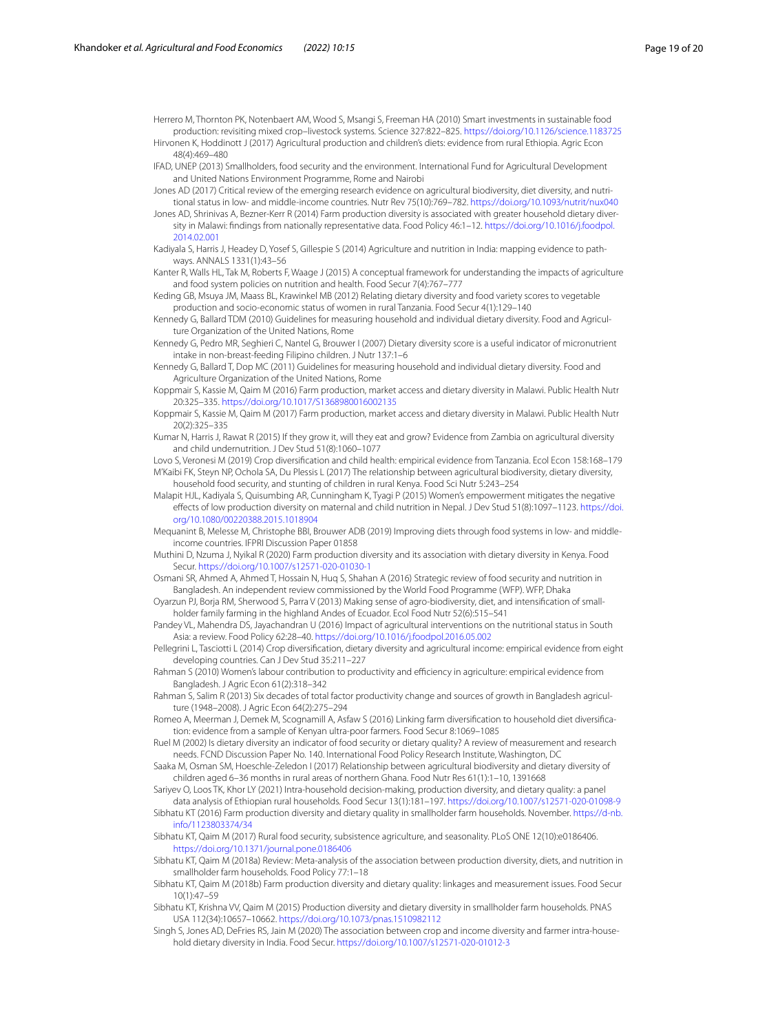<span id="page-18-32"></span><span id="page-18-12"></span>Herrero M, Thornton PK, Notenbaert AM, Wood S, Msangi S, Freeman HA (2010) Smart investments in sustainable food production: revisiting mixed crop–livestock systems. Science 327:822–825.<https://doi.org/10.1126/science.1183725> Hirvonen K, Hoddinott J (2017) Agricultural production and children's diets: evidence from rural Ethiopia. Agric Econ 48(4):469–480

<span id="page-18-13"></span>IFAD, UNEP (2013) Smallholders, food security and the environment. International Fund for Agricultural Development and United Nations Environment Programme, Rome and Nairobi

- <span id="page-18-16"></span>Jones AD (2017) Critical review of the emerging research evidence on agricultural biodiversity, diet diversity, and nutritional status in low- and middle-income countries. Nutr Rev 75(10):769–782.<https://doi.org/10.1093/nutrit/nux040>
- <span id="page-18-9"></span>Jones AD, Shrinivas A, Bezner-Kerr R (2014) Farm production diversity is associated with greater household dietary diversity in Malawi: fndings from nationally representative data. Food Policy 46:1–12. [https://doi.org/10.1016/j.foodpol.](https://doi.org/10.1016/j.foodpol.2014.02.001) [2014.02.001](https://doi.org/10.1016/j.foodpol.2014.02.001)
- <span id="page-18-14"></span>Kadiyala S, Harris J, Headey D, Yosef S, Gillespie S (2014) Agriculture and nutrition in India: mapping evidence to pathways. ANNALS 1331(1):43–56
- <span id="page-18-15"></span>Kanter R, Walls HL, Tak M, Roberts F, Waage J (2015) A conceptual framework for understanding the impacts of agriculture and food system policies on nutrition and health. Food Secur 7(4):767–777
- <span id="page-18-23"></span>Keding GB, Msuya JM, Maass BL, Krawinkel MB (2012) Relating dietary diversity and food variety scores to vegetable production and socio-economic status of women in rural Tanzania. Food Secur 4(1):129–140
- <span id="page-18-28"></span>Kennedy G, Ballard TDM (2010) Guidelines for measuring household and individual dietary diversity. Food and Agriculture Organization of the United Nations, Rome
- <span id="page-18-7"></span>Kennedy G, Pedro MR, Seghieri C, Nantel G, Brouwer I (2007) Dietary diversity score is a useful indicator of micronutrient intake in non-breast-feeding Filipino children. J Nutr 137:1–6

<span id="page-18-5"></span>Kennedy G, Ballard T, Dop MC (2011) Guidelines for measuring household and individual dietary diversity. Food and Agriculture Organization of the United Nations, Rome

- <span id="page-18-24"></span>Koppmair S, Kassie M, Qaim M (2016) Farm production, market access and dietary diversity in Malawi. Public Health Nutr 20:325–335. <https://doi.org/10.1017/S1368980016002135>
- <span id="page-18-30"></span>Koppmair S, Kassie M, Qaim M (2017) Farm production, market access and dietary diversity in Malawi. Public Health Nutr 20(2):325–335
- <span id="page-18-33"></span>Kumar N, Harris J, Rawat R (2015) If they grow it, will they eat and grow? Evidence from Zambia on agricultural diversity and child undernutrition. J Dev Stud 51(8):1060–1077
- <span id="page-18-31"></span><span id="page-18-25"></span>Lovo S, Veronesi M (2019) Crop diversifcation and child health: empirical evidence from Tanzania. Ecol Econ 158:168–179 M'Kaibi FK, Steyn NP, Ochola SA, Du Plessis L (2017) The relationship between agricultural biodiversity, dietary diversity, household food security, and stunting of children in rural Kenya. Food Sci Nutr 5:243–254
- <span id="page-18-11"></span>Malapit HJL, Kadiyala S, Quisumbing AR, Cunningham K, Tyagi P (2015) Women's empowerment mitigates the negative efects of low production diversity on maternal and child nutrition in Nepal. J Dev Stud 51(8):1097–1123. [https://doi.](https://doi.org/10.1080/00220388.2015.1018904) [org/10.1080/00220388.2015.1018904](https://doi.org/10.1080/00220388.2015.1018904)
- <span id="page-18-22"></span>Mequanint B, Melesse M, Christophe BBI, Brouwer ADB (2019) Improving diets through food systems in low- and middleincome countries. IFPRI Discussion Paper 01858
- <span id="page-18-8"></span>Muthini D, Nzuma J, Nyikal R (2020) Farm production diversity and its association with dietary diversity in Kenya. Food Secur. <https://doi.org/10.1007/s12571-020-01030-1>
- <span id="page-18-4"></span>Osmani SR, Ahmed A, Ahmed T, Hossain N, Huq S, Shahan A (2016) Strategic review of food security and nutrition in Bangladesh. An independent review commissioned by the World Food Programme (WFP). WFP, Dhaka
- <span id="page-18-10"></span>Oyarzun PJ, Borja RM, Sherwood S, Parra V (2013) Making sense of agro-biodiversity, diet, and intensifcation of smallholder family farming in the highland Andes of Ecuador. Ecol Food Nutr 52(6):515–541
- <span id="page-18-1"></span>Pandey VL, Mahendra DS, Jayachandran U (2016) Impact of agricultural interventions on the nutritional status in South Asia: a review. Food Policy 62:28–40.<https://doi.org/10.1016/j.foodpol.2016.05.002>
- <span id="page-18-17"></span>Pellegrini L, Tasciotti L (2014) Crop diversifcation, dietary diversity and agricultural income: empirical evidence from eight developing countries. Can J Dev Stud 35:211–227

<span id="page-18-2"></span>Rahman S (2010) Women's labour contribution to productivity and efficiency in agriculture: empirical evidence from Bangladesh. J Agric Econ 61(2):318–342

- <span id="page-18-3"></span>Rahman S, Salim R (2013) Six decades of total factor productivity change and sources of growth in Bangladesh agriculture (1948–2008). J Agric Econ 64(2):275–294
- <span id="page-18-34"></span>Romeo A, Meerman J, Demek M, Scognamill A, Asfaw S (2016) Linking farm diversifcation to household diet diversifcation: evidence from a sample of Kenyan ultra-poor farmers. Food Secur 8:1069–1085
- <span id="page-18-6"></span>Ruel M (2002) Is dietary diversity an indicator of food security or dietary quality? A review of measurement and research needs. FCND Discussion Paper No. 140. International Food Policy Research Institute, Washington, DC
- <span id="page-18-18"></span>Saaka M, Osman SM, Hoeschle-Zeledon I (2017) Relationship between agricultural biodiversity and dietary diversity of children aged 6–36 months in rural areas of northern Ghana. Food Nutr Res 61(1):1–10, 1391668
- <span id="page-18-27"></span>Sariyev O, Loos TK, Khor LY (2021) Intra-household decision-making, production diversity, and dietary quality: a panel data analysis of Ethiopian rural households. Food Secur 13(1):181–197. <https://doi.org/10.1007/s12571-020-01098-9>
- <span id="page-18-29"></span>Sibhatu KT (2016) Farm production diversity and dietary quality in smallholder farm households. November. [https://d-nb.](https://d-nb.info/1123803374/34) [info/1123803374/34](https://d-nb.info/1123803374/34)
- <span id="page-18-26"></span>Sibhatu KT, Qaim M (2017) Rural food security, subsistence agriculture, and seasonality. PLoS ONE 12(10):e0186406. <https://doi.org/10.1371/journal.pone.0186406>
- <span id="page-18-0"></span>Sibhatu KT, Qaim M (2018a) Review: Meta-analysis of the association between production diversity, diets, and nutrition in smallholder farm households. Food Policy 77:1–18
- <span id="page-18-19"></span>Sibhatu KT, Qaim M (2018b) Farm production diversity and dietary quality: linkages and measurement issues. Food Secur 10(1):47–59
- <span id="page-18-21"></span>Sibhatu KT, Krishna VV, Qaim M (2015) Production diversity and dietary diversity in smallholder farm households. PNAS USA 112(34):10657–10662. <https://doi.org/10.1073/pnas.1510982112>
- <span id="page-18-20"></span>Singh S, Jones AD, DeFries RS, Jain M (2020) The association between crop and income diversity and farmer intra-household dietary diversity in India. Food Secur.<https://doi.org/10.1007/s12571-020-01012-3>